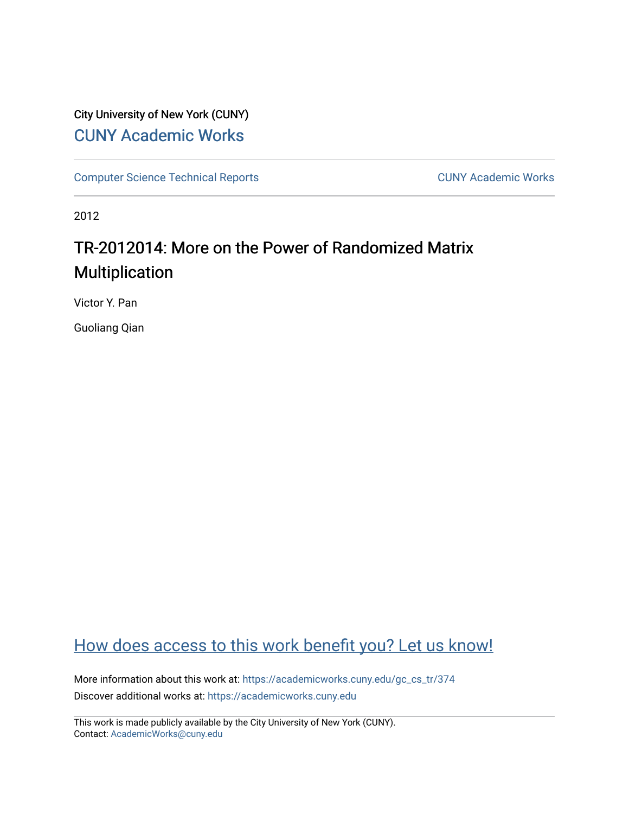# City University of New York (CUNY) [CUNY Academic Works](https://academicworks.cuny.edu/)

[Computer Science Technical Reports](https://academicworks.cuny.edu/gc_cs_tr) **CUNY Academic Works** CUNY Academic Works

2012

# TR-2012014: More on the Power of Randomized Matrix Multiplication

Victor Y. Pan

Guoliang Qian

# [How does access to this work benefit you? Let us know!](http://ols.cuny.edu/academicworks/?ref=https://academicworks.cuny.edu/gc_cs_tr/374)

More information about this work at: [https://academicworks.cuny.edu/gc\\_cs\\_tr/374](https://academicworks.cuny.edu/gc_cs_tr/374)  Discover additional works at: [https://academicworks.cuny.edu](https://academicworks.cuny.edu/?)

This work is made publicly available by the City University of New York (CUNY). Contact: [AcademicWorks@cuny.edu](mailto:AcademicWorks@cuny.edu)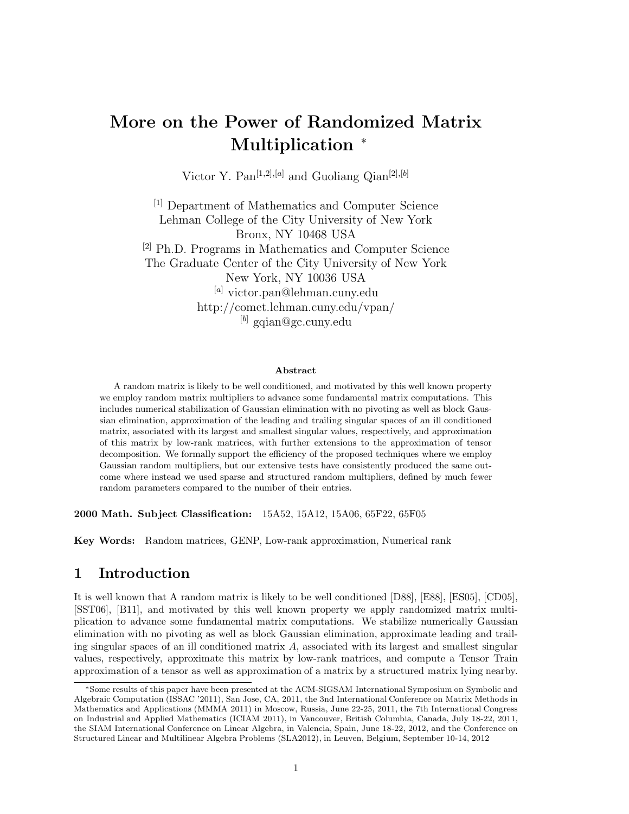# **More on the Power of Randomized Matrix Multiplication** <sup>∗</sup>

Victor Y. Pan<sup>[1,2],[a]</sup> and Guoliang Qian<sup>[2],[b]</sup>

[1] Department of Mathematics and Computer Science Lehman College of the City University of New York Bronx, NY 10468 USA [2] Ph.D. Programs in Mathematics and Computer Science The Graduate Center of the City University of New York New York, NY 10036 USA [*a*] victor.pan@lehman.cuny.edu http://comet.lehman.cuny.edu/vpan/ [*b*] gqian@gc.cuny.edu

#### **Abstract**

A random matrix is likely to be well conditioned, and motivated by this well known property we employ random matrix multipliers to advance some fundamental matrix computations. This includes numerical stabilization of Gaussian elimination with no pivoting as well as block Gaussian elimination, approximation of the leading and trailing singular spaces of an ill conditioned matrix, associated with its largest and smallest singular values, respectively, and approximation of this matrix by low-rank matrices, with further extensions to the approximation of tensor decomposition. We formally support the efficiency of the proposed techniques where we employ Gaussian random multipliers, but our extensive tests have consistently produced the same outcome where instead we used sparse and structured random multipliers, defined by much fewer random parameters compared to the number of their entries.

**2000 Math. Subject Classification:** 15A52, 15A12, 15A06, 65F22, 65F05

**Key Words:** Random matrices, GENP, Low-rank approximation, Numerical rank

### **1 Introduction**

It is well known that A random matrix is likely to be well conditioned [D88], [E88], [ES05], [CD05], [SST06], [B11], and motivated by this well known property we apply randomized matrix multiplication to advance some fundamental matrix computations. We stabilize numerically Gaussian elimination with no pivoting as well as block Gaussian elimination, approximate leading and trailing singular spaces of an ill conditioned matrix *A*, associated with its largest and smallest singular values, respectively, approximate this matrix by low-rank matrices, and compute a Tensor Train approximation of a tensor as well as approximation of a matrix by a structured matrix lying nearby.

<sup>∗</sup>Some results of this paper have been presented at the ACM-SIGSAM International Symposium on Symbolic and Algebraic Computation (ISSAC '2011), San Jose, CA, 2011, the 3nd International Conference on Matrix Methods in Mathematics and Applications (MMMA 2011) in Moscow, Russia, June 22-25, 2011, the 7th International Congress on Industrial and Applied Mathematics (ICIAM 2011), in Vancouver, British Columbia, Canada, July 18-22, 2011, the SIAM International Conference on Linear Algebra, in Valencia, Spain, June 18-22, 2012, and the Conference on Structured Linear and Multilinear Algebra Problems (SLA2012), in Leuven, Belgium, September 10-14, 2012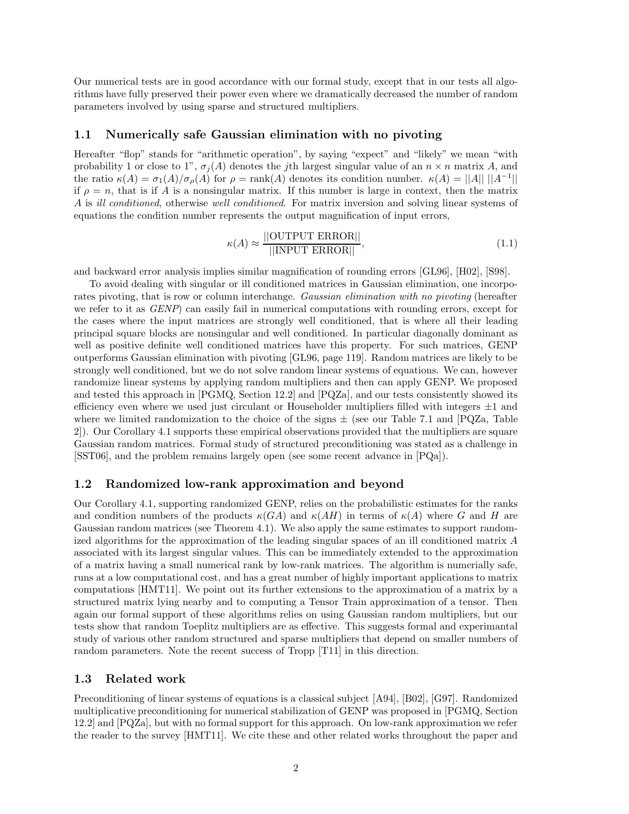Our numerical tests are in good accordance with our formal study, except that in our tests all algorithms have fully preserved their power even where we dramatically decreased the number of random parameters involved by using sparse and structured multipliers.

#### **1.1 Numerically safe Gaussian elimination with no pivoting**

Hereafter "flop" stands for "arithmetic operation", by saying "expect" and "likely" we mean "with probability 1 or close to 1",  $\sigma_j(A)$  denotes the *j*th largest singular value of an  $n \times n$  matrix *A*, and the ratio  $\kappa(A) = \sigma_1(A)/\sigma_\rho(A)$  for  $\rho = \text{rank}(A)$  denotes its condition number.  $\kappa(A) = ||A|| ||A^{-1}||$ if  $\rho = n$ , that is if *A* is a nonsingular matrix. If this number is large in context, then the matrix *A* is *ill conditioned*, otherwise *well conditioned*. For matrix inversion and solving linear systems of equations the condition number represents the output magnification of input errors,

$$
\kappa(A) \approx \frac{||\text{OUTPUT ERROR}||}{||\text{INDUT ERROR}||},\tag{1.1}
$$

and backward error analysis implies similar magnification of rounding errors [GL96], [H02], [S98].

To avoid dealing with singular or ill conditioned matrices in Gaussian elimination, one incorporates pivoting, that is row or column interchange. *Gaussian elimination with no pivoting* (hereafter we refer to it as *GENP*) can easily fail in numerical computations with rounding errors, except for the cases where the input matrices are strongly well conditioned, that is where all their leading principal square blocks are nonsingular and well conditioned. In particular diagonally dominant as well as positive definite well conditioned matrices have this property. For such matrices, GENP outperforms Gaussian elimination with pivoting [GL96, page 119]. Random matrices are likely to be strongly well conditioned, but we do not solve random linear systems of equations. We can, however randomize linear systems by applying random multipliers and then can apply GENP. We proposed and tested this approach in [PGMQ, Section 12.2] and [PQZa], and our tests consistently showed its efficiency even where we used just circulant or Householder multipliers filled with integers  $\pm 1$  and where we limited randomization to the choice of the signs  $\pm$  (see our Table 7.1 and [PQZa, Table 2]). Our Corollary 4.1 supports these empirical observations provided that the multipliers are square Gaussian random matrices. Formal study of structured preconditioning was stated as a challenge in [SST06], and the problem remains largely open (see some recent advance in [PQa]).

#### **1.2 Randomized low-rank approximation and beyond**

Our Corollary 4.1, supporting randomized GENP, relies on the probabilistic estimates for the ranks and condition numbers of the products  $\kappa(GA)$  and  $\kappa(AH)$  in terms of  $\kappa(A)$  where *G* and *H* are Gaussian random matrices (see Theorem 4.1). We also apply the same estimates to support randomized algorithms for the approximation of the leading singular spaces of an ill conditioned matrix *A* associated with its largest singular values. This can be immediately extended to the approximation of a matrix having a small numerical rank by low-rank matrices. The algorithm is numerially safe, runs at a low computational cost, and has a great number of highly important applications to matrix computations [HMT11]. We point out its further extensions to the approximation of a matrix by a structured matrix lying nearby and to computing a Tensor Train approximation of a tensor. Then again our formal support of these algorithms relies on using Gaussian random multipliers, but our tests show that random Toeplitz multipliers are as effective. This suggests formal and experimantal study of various other random structured and sparse multipliers that depend on smaller numbers of random parameters. Note the recent success of Tropp [T11] in this direction.

#### **1.3 Related work**

Preconditioning of linear systems of equations is a classical subject [A94], [B02], [G97]. Randomized multiplicative preconditioning for numerical stabilization of GENP was proposed in [PGMQ, Section 12.2] and [PQZa], but with no formal support for this approach. On low-rank approximation we refer the reader to the survey [HMT11]. We cite these and other related works throughout the paper and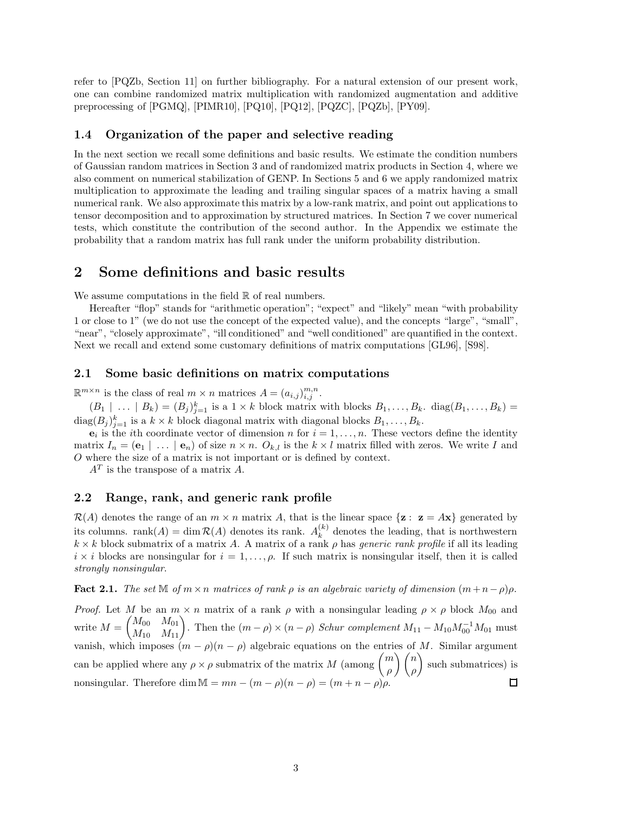refer to [PQZb, Section 11] on further bibliography. For a natural extension of our present work, one can combine randomized matrix multiplication with randomized augmentation and additive preprocessing of [PGMQ], [PIMR10], [PQ10], [PQ12], [PQZC], [PQZb], [PY09].

#### **1.4 Organization of the paper and selective reading**

In the next section we recall some definitions and basic results. We estimate the condition numbers of Gaussian random matrices in Section 3 and of randomized matrix products in Section 4, where we also comment on numerical stabilization of GENP. In Sections 5 and 6 we apply randomized matrix multiplication to approximate the leading and trailing singular spaces of a matrix having a small numerical rank. We also approximate this matrix by a low-rank matrix, and point out applications to tensor decomposition and to approximation by structured matrices. In Section 7 we cover numerical tests, which constitute the contribution of the second author. In the Appendix we estimate the probability that a random matrix has full rank under the uniform probability distribution.

### **2 Some definitions and basic results**

We assume computations in the field  $\mathbb R$  of real numbers.

Hereafter "flop" stands for "arithmetic operation"; "expect" and "likely" mean "with probability 1 or close to 1" (we do not use the concept of the expected value), and the concepts "large", "small", "near", "closely approximate", "ill conditioned" and "well conditioned" are quantified in the context. Next we recall and extend some customary definitions of matrix computations [GL96], [S98].

#### **2.1 Some basic definitions on matrix computations**

 $\mathbb{R}^{m \times n}$  is the class of real  $m \times n$  matrices  $A = (a_{i,j})_{i,j}^{m,n}$ .

 $(B_1 \mid \ldots \mid B_k) = (B_j)_{j=1}^k$  is a  $1 \times k$  block matrix with blocks  $B_1, \ldots, B_k$ . diag $(B_1, \ldots, B_k)$  $\text{diag}(B_j)_{j=1}^k$  is a  $k \times k$  block diagonal matrix with diagonal blocks  $B_1, \ldots, B_k$ .

 $e_i$  is the *i*th coordinate vector of dimension *n* for  $i = 1, \ldots, n$ . These vectors define the identity matrix  $I_n = (\mathbf{e}_1 | \dots | \mathbf{e}_n)$  of size  $n \times n$ .  $O_{k,l}$  is the  $k \times l$  matrix filled with zeros. We write *I* and *O* where the size of a matrix is not important or is defined by context.

*A<sup>T</sup>* is the transpose of a matrix *A*.

#### **2.2 Range, rank, and generic rank profile**

 $\mathcal{R}(A)$  denotes the range of an  $m \times n$  matrix A, that is the linear space  $\{z : z = Ax\}$  generated by its columns. rank $(A) = \dim \mathcal{R}(A)$  denotes its rank.  $A_k^{(k)}$  denotes the leading, that is northwestern  $k \times k$  block submatrix of a matrix *A*. A matrix of a rank  $\rho$  has *generic rank profile* if all its leading  $i \times i$  blocks are nonsingular for  $i = 1, \ldots, \rho$ . If such matrix is nonsingular itself, then it is called *strongly nonsingular*.

**Fact 2.1.** *The set*  $\mathbb{M}$  *of*  $m \times n$  *matrices of rank*  $\rho$  *is an algebraic variety of dimension*  $(m+n-\rho)\rho$ *.* 

*Proof.* Let *M* be an  $m \times n$  matrix of a rank  $\rho$  with a nonsingular leading  $\rho \times \rho$  block  $M_{00}$  and write  $M =$  $\begin{pmatrix} M_{00} & M_{01} \\ M_{10} & M_{11} \end{pmatrix}$ . Then the  $(m - \rho) \times (n - \rho)$  *Schur complement*  $M_{11} - M_{10} M_{00}^{-1} M_{01}$  must vanish, which imposes  $(m - \rho)(n - \rho)$  algebraic equations on the entries of *M*. Similar argument can be applied where any  $\rho \times \rho$  submatrix of the matrix *M* (among  $\binom{m}{n}$ *ρ*  $\setminus$  *n ρ* such submatrices) is nonsingular. Therefore dim  $M = mn - (m - \rho)(n - \rho) = (m + n - \rho)\rho$ .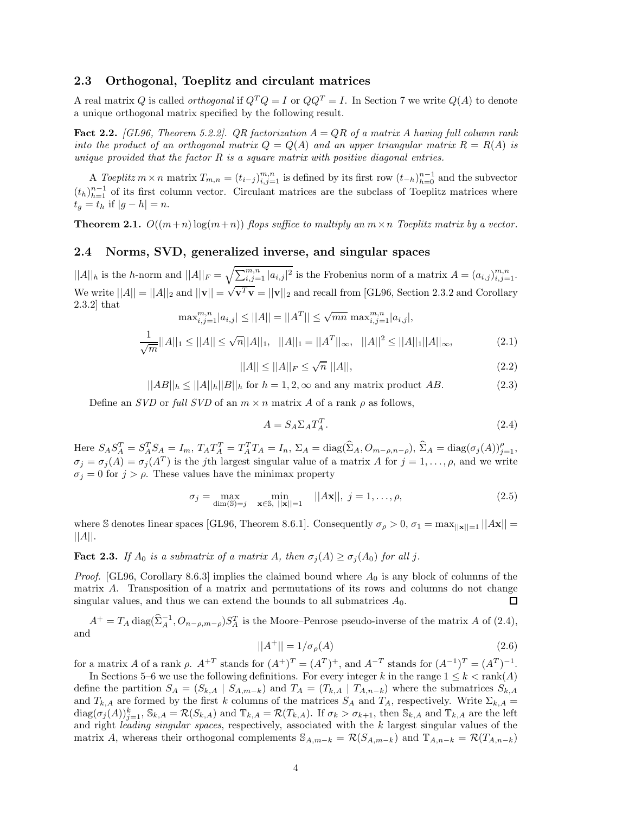#### **2.3 Orthogonal, Toeplitz and circulant matrices**

A real matrix *Q* is called *orthogonal* if  $Q^TQ = I$  or  $QQ^T = I$ . In Section 7 we write  $Q(A)$  to denote a unique orthogonal matrix specified by the following result.

**Fact 2.2.** *[GL96, Theorem 5.2.2]. QR factorization A* = *QR of a matrix A having full column rank into the product of an orthogonal matrix*  $Q = Q(A)$  *and an upper triangular matrix*  $R = R(A)$  *is unique provided that the factor R is a square matrix with positive diagonal entries.*

A *Toeplitz*  $m \times n$  matrix  $T_{m,n} = (t_{i-j})_{i,j=1}^{m,n}$  is defined by its first row  $(t_{-h})_{h=0}^{n-1}$  and the subvector  $(t_h)_{h=1}^{n-1}$  of its first column vector. Circulant matrices are the subclass of Toeplitz matrices where  $t_q = t_h$  if  $|g - h| = n$ .

**Theorem 2.1.**  $O((m+n)\log(m+n))$  *flops suffice to multiply an*  $m \times n$  *Toeplitz matrix by a vector.* 

#### **2.4 Norms, SVD, generalized inverse, and singular spaces**

 $||A||_h$  is the *h*-norm and  $||A||_F = \sqrt{\sum_{i,j=1}^{m,n} |a_{i,j}|^2}$  is the Frobenius norm of a matrix  $A = (a_{i,j})_{i,j=1}^{m,n}$ . We write  $||A|| = ||A||_2$  and  $||\mathbf{v}|| = \sqrt{\mathbf{v}^T \mathbf{v}} = ||\mathbf{v}||_2$  and recall from [GL96, Section 2.3.2 and Corollary 2.3.2] that  $\max_{i,j=1}^{m,n} |a_{i,j}| \leq ||A|| = ||A^T|| \leq \sqrt{mn} \max_{i,j=1}^{m,n} |a_{i,j}|,$ 

$$
\max_{i,j=1} |a_{i,j}| \le ||A|| - ||A|| - ||A|| \le \sqrt{mn} \max_{i,j=1} |a_{i,j}|,
$$
  

$$
\frac{1}{\sqrt{m}}||A||_1 \le ||A|| \le \sqrt{n}||A||_1, \quad ||A||_1 = ||A^T||_{\infty}, \quad ||A||^2 \le ||A||_1||A||_{\infty}, \tag{2.1}
$$

$$
||A|| \le ||A||_F \le \sqrt{n} \, ||A||,\tag{2.2}
$$

 $||AB||_h \leq ||A||_h ||B||_h$  for  $h = 1, 2, \infty$  and any matrix product *AB*. (2.3)

Define an *SVD* or *full SVD* of an  $m \times n$  matrix *A* of a rank  $\rho$  as follows,

$$
A = S_A \Sigma_A T_A^T. \tag{2.4}
$$

Here  $S_A S_A^T = S_A^T S_A = I_m$ ,  $T_A T_A^T = T_A^T T_A = I_n$ ,  $\Sigma_A = \text{diag}(\widehat{\Sigma}_A, O_{m-\rho,n-\rho}),$   $\widehat{\Sigma}_A = \text{diag}(\sigma_j(A))_{j=1}^{\rho}$ ,  $\sigma_j = \sigma_j(A) = \sigma_j(A^T)$  is the *j*th largest singular value of a matrix *A* for  $j = 1, \ldots, \rho$ , and we write  $\sigma_j = 0$  for  $j > \rho$ . These values have the minimax property

$$
\sigma_j = \max_{\dim(\mathbb{S}) = j} \min_{\mathbf{x} \in \mathbb{S}, \; ||\mathbf{x}|| = 1} \; ||A\mathbf{x}||, \; j = 1, \dots, \rho,
$$
\n
$$
(2.5)
$$

where S denotes linear spaces [GL96, Theorem 8.6.1]. Consequently  $\sigma_{\rho} > 0$ ,  $\sigma_1 = \max_{\vert \vert \mathbf{x} \vert \vert = 1} \vert \vert \mathbf{Ax} \vert \vert =$ ||*A*||.

**Fact 2.3.** *If*  $A_0$  *is a submatrix of a matrix*  $A$ *, then*  $\sigma_i(A) \geq \sigma_i(A_0)$  *for all j*.

*Proof.* [GL96, Corollary 8.6.3] implies the claimed bound where *A*<sup>0</sup> is any block of columns of the matrix *A*. Transposition of a matrix and permutations of its rows and columns do not change singular values, and thus we can extend the bounds to all submatrices  $A_0$ . □

 $A^+ = T_A \operatorname{diag}(\hat{\Sigma}_A^{-1}, O_{n-\rho,m-\rho}) S_A^T$  is the Moore–Penrose pseudo-inverse of the matrix *A* of (2.4), and

$$
||A^{+}|| = 1/\sigma_{\rho}(A) \tag{2.6}
$$

for a matrix *A* of a rank  $\rho$ .  $A^{+T}$  stands for  $(A^{+})^{T} = (A^{T})^{+}$ , and  $A^{-T}$  stands for  $(A^{-1})^{T} = (A^{T})^{-1}$ .

In Sections 5–6 we use the following definitions. For every integer *k* in the range  $1 \leq k < \text{rank}(A)$ define the partition  $S_A = (S_{k,A} | S_{A,m-k})$  and  $T_A = (T_{k,A} | T_{A,n-k})$  where the submatrices  $S_{k,A}$ and  $T_{k,A}$  are formed by the first *k* columns of the matrices  $S_A$  and  $T_A$ , respectively. Write  $\Sigma_{k,A}$  $diag(\sigma_j(A))_{j=1}^k$ ,  $\mathbb{S}_{k,A} = \mathcal{R}(S_{k,A})$  and  $\mathbb{T}_{k,A} = \mathcal{R}(T_{k,A})$ . If  $\sigma_k > \sigma_{k+1}$ , then  $\mathbb{S}_{k,A}$  and  $\mathbb{T}_{k,A}$  are the left and right *leading singular spaces*, respectively, associated with the *k* largest singular values of the matrix *A*, whereas their orthogonal complements  $S_{A,m-k} = \mathcal{R}(S_{A,m-k})$  and  $\mathbb{T}_{A,n-k} = \mathcal{R}(T_{A,n-k})$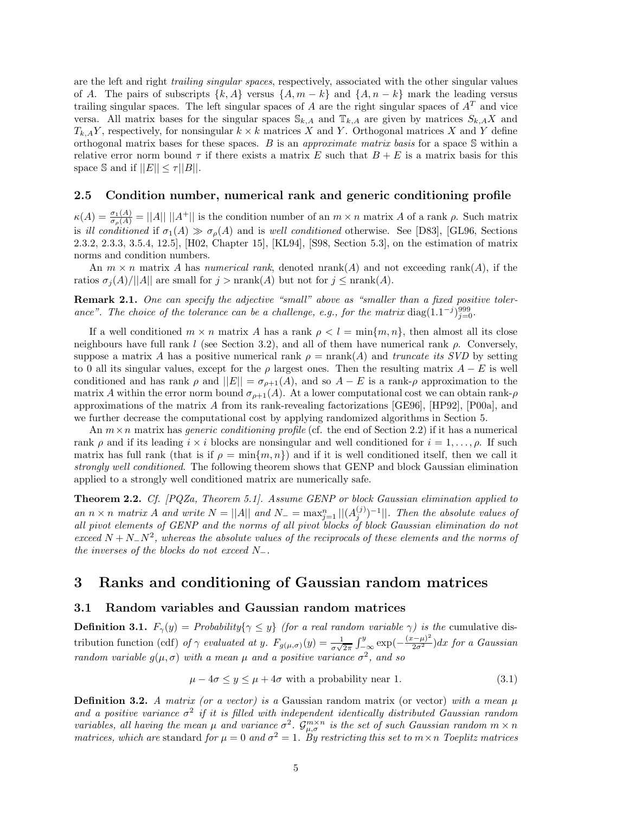are the left and right *trailing singular spaces*, respectively, associated with the other singular values of *A*. The pairs of subscripts  $\{k, A\}$  versus  $\{A, m - k\}$  and  $\{A, n - k\}$  mark the leading versus trailing singular spaces. The left singular spaces of  $A$  are the right singular spaces of  $A<sup>T</sup>$  and vice versa. All matrix bases for the singular spaces  $\mathcal{S}_{k,A}$  and  $\mathbb{T}_{k,A}$  are given by matrices  $S_{k,A}X$  and  $T_{k,A}Y$ , respectively, for nonsingular  $k \times k$  matrices *X* and *Y*. Orthogonal matrices *X* and *Y* define orthogonal matrix bases for these spaces. *B* is an *approximate matrix basis* for a space S within a relative error norm bound  $\tau$  if there exists a matrix *E* such that  $B + E$  is a matrix basis for this space S and if  $||E|| \leq \tau ||B||$ .

#### **2.5 Condition number, numerical rank and generic conditioning profile**

 $\kappa(A) = \frac{\sigma_1(A)}{\sigma_\rho(A)} = ||A|| \, ||A^+||$  is the condition number of an  $m \times n$  matrix *A* of a rank  $\rho$ . Such matrix is *ill conditioned* if  $\sigma_1(A) \gg \sigma_\rho(A)$  and is *well conditioned* otherwise. See [D83], [GL96, Sections 2.3.2, 2.3.3, 3.5.4, 12.5], [H02, Chapter 15], [KL94], [S98, Section 5.3], on the estimation of matrix norms and condition numbers.

An  $m \times n$  matrix A has *numerical rank*, denoted nrank(A) and not exceeding rank(A), if the ratios  $\sigma_j(A)/||A||$  are small for  $j > \text{nrank}(A)$  but not for  $j \leq \text{nrank}(A)$ .

**Remark 2.1.** *One can specify the adjective "small" above as "smaller than a fixed positive toler*ance". The choice of the tolerance can be a challenge, e.g., for the matrix diag(1.1<sup>-*j*)999</sup><sub>j=0</sub>.

If a well conditioned  $m \times n$  matrix *A* has a rank  $\rho < l = \min\{m, n\}$ , then almost all its close neighbours have full rank *l* (see Section 3.2), and all of them have numerical rank *ρ*. Conversely, suppose a matrix *A* has a positive numerical rank  $\rho = \text{nrank}(A)$  and *truncate its SVD* by setting to 0 all its singular values, except for the  $\rho$  largest ones. Then the resulting matrix  $A - E$  is well conditioned and has rank  $\rho$  and  $||E|| = \sigma_{\rho+1}(A)$ , and so  $A - E$  is a rank- $\rho$  approximation to the matrix *A* within the error norm bound  $\sigma_{\rho+1}(A)$ . At a lower computational cost we can obtain rank- $\rho$ approximations of the matrix *A* from its rank-revealing factorizations [GE96], [HP92], [P00a], and we further decrease the computational cost by applying randomized algorithms in Section 5.

An  $m \times n$  matrix has *generic conditioning profile* (cf. the end of Section 2.2) if it has a numerical rank *ρ* and if its leading *i* × *i* blocks are nonsingular and well conditioned for *i* = 1*,...,ρ*. If such matrix has full rank (that is if  $\rho = \min\{m, n\}$ ) and if it is well conditioned itself, then we call it *strongly well conditioned*. The following theorem shows that GENP and block Gaussian elimination applied to a strongly well conditioned matrix are numerically safe.

**Theorem 2.2.** *Cf. [PQZa, Theorem 5.1]. Assume GENP or block Gaussian elimination applied to an*  $n \times n$  *matrix A and* write  $N = ||A||$  *and*  $N = max_{j=1}^{n} ||(A_j^{(j)})^{-1}||$ *. Then the absolute values of all pivot elements of GENP and the norms of all pivot blocks of block Gaussian elimination do not exceed <sup>N</sup>* <sup>+</sup> *<sup>N</sup>*−*N*<sup>2</sup>*, whereas the absolute values of the reciprocals of these elements and the norms of the inverses of the blocks do not exceed N*−*.*

### **3 Ranks and conditioning of Gaussian random matrices**

#### **3.1 Random variables and Gaussian random matrices**

**Definition 3.1.**  $F_\gamma(y) = \text{Probability}\{\gamma \leq y\}$  (for a real random variable  $\gamma$ ) is the cumulative distribution function (cdf) of  $\gamma$  evaluated at y.  $F_{g(\mu,\sigma)}(y) = \frac{1}{\sigma\sqrt{2\pi}} \int_{-\infty}^{y} \exp(-\frac{(x-\mu)^2}{2\sigma^2}) dx$  for a Gaussian *random variable*  $g(\mu, \sigma)$  *with* a mean  $\mu$  and a positive variance  $\sigma^2$ , and so

$$
\mu - 4\sigma \le y \le \mu + 4\sigma \text{ with a probability near 1.} \tag{3.1}
$$

**Definition 3.2.** *A matrix (or a vector) is a* Gaussian random matrix (or vector) *with a mean*  $\mu$ and a positive variance  $\sigma^2$  if it is filled with independent identically distributed Gaussian random *variables, all having the mean*  $\mu$  *and variance*  $\sigma^2$ *.*  $\mathcal{G}_{\mu,\sigma}^{m\times n}$  *is the set of such Gaussian random*  $m \times n$ *matrices, which are* standard *for*  $\mu = 0$  *and*  $\sigma^2 = 1$ *. By restricting this set to*  $m \times n$  *Toeplitz matrices*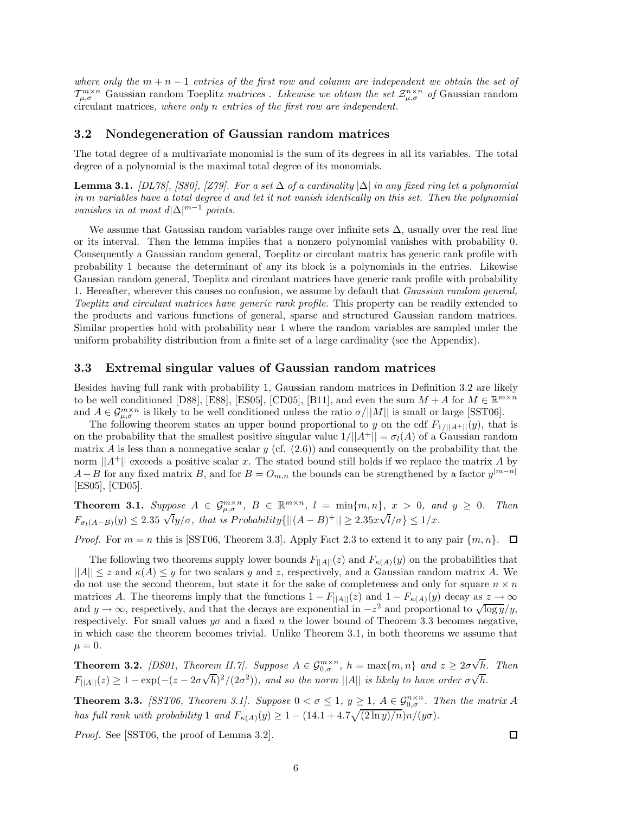*where only the m* + *n* − 1 *entries of the first row and column are independent we obtain the set of*  $\mathcal{T}_{\mu,\sigma}^{m\times n}$  Gaussian random Toeplitz *matrices . Likewise we obtain the set*  $\mathcal{Z}_{\mu,\sigma}^{n\times n}$  *of* Gaussian random circulant matrices*, where only n entries of the first row are independent.*

#### **3.2 Nondegeneration of Gaussian random matrices**

The total degree of a multivariate monomial is the sum of its degrees in all its variables. The total degree of a polynomial is the maximal total degree of its monomials.

**Lemma 3.1.** *[DL78], [S80], [Z79]. For a set* ∆ *of a cardinality*  $|\Delta|$  *in any fixed ring let a polynomial in m variables have a total degree d and let it not vanish identically on this set. Then the polynomial vanishes in at most*  $d|\Delta|^{m-1}$  *points.* 

We assume that Gaussian random variables range over infinite sets  $\Delta$ , usually over the real line or its interval. Then the lemma implies that a nonzero polynomial vanishes with probability 0. Consequently a Gaussian random general, Toeplitz or circulant matrix has generic rank profile with probability 1 because the determinant of any its block is a polynomials in the entries. Likewise Gaussian random general, Toeplitz and circulant matrices have generic rank profile with probability 1. Hereafter, wherever this causes no confusion, we assume by default that *Gaussian random general, Toeplitz and circulant matrices have generic rank profile.* This property can be readily extended to the products and various functions of general, sparse and structured Gaussian random matrices. Similar properties hold with probability near 1 where the random variables are sampled under the uniform probability distribution from a finite set of a large cardinality (see the Appendix).

#### **3.3 Extremal singular values of Gaussian random matrices**

Besides having full rank with probability 1, Gaussian random matrices in Definition 3.2 are likely to be well conditioned [D88], [E88], [ES05], [CD05], [B11], and even the sum  $M + A$  for  $M \in \mathbb{R}^{m \times n}$ and  $A \in \mathcal{G}_{\mu,\sigma}^{m \times n}$  is likely to be well conditioned unless the ratio  $\sigma/||M||$  is small or large [SST06].

The following theorem states an upper bound proportional to *y* on the cdf  $F_{1/||A+||}(y)$ , that is on the probability that the smallest positive singular value  $1/||A^+|| = \sigma_l(A)$  of a Gaussian random matrix *A* is less than a nonnegative scalar *y* (cf.  $(2.6)$ ) and consequently on the probability that the norm  $||A^+||$  exceeds a positive scalar *x*. The stated bound still holds if we replace the matrix *A* by *A*−*B* for any fixed matrix *B*, and for  $B = O_{m,n}$  the bounds can be strengthened by a factor  $y^{|m-n|}$ [ES05], [CD05].

**Theorem 3.1.** Suppose  $A \in \mathcal{G}_{\mu,\sigma}^{m \times n}$ ,  $B \in \mathbb{R}^{m \times n}$ ,  $l = \min\{m,n\}$ ,  $x > 0$ , and  $y \ge 0$ . Then  $F_{\sigma_l(A-B)}(y) \leq 2.35 \sqrt{l}y/\sigma$ , that is *Probability*{ $||(A-B)^+|| \geq 2.35x\sqrt{l}/\sigma$ } ≤ 1/*x.* 

*Proof.* For  $m = n$  this is [SST06, Theorem 3.3]. Apply Fact 2.3 to extend it to any pair  $\{m, n\}$ .  $\Box$ 

The following two theorems supply lower bounds  $F_{\parallel A \parallel}(z)$  and  $F_{\kappa(A)}(y)$  on the probabilities that  $||A|| \leq z$  and  $\kappa(A) \leq y$  for two scalars y and z, respectively, and a Gaussian random matrix A. We do not use the second theorem, but state it for the sake of completeness and only for square  $n \times n$ matrices *A*. The theorems imply that the functions  $1 - F_{\vert A \vert}(z)$  and  $1 - F_{\kappa(A)}(y)$  decay as  $z \to \infty$ and *y* → ∞, respectively, and that the decays are exponential in  $-z^2$  and proportional to  $\sqrt{\log y}/y$ , respectively. For small values  $y\sigma$  and a fixed *n* the lower bound of Theorem 3.3 becomes negative, in which case the theorem becomes trivial. Unlike Theorem 3.1, in both theorems we assume that  $\mu = 0.$ 

**Theorem 3.2.** *[DS01, Theorem II.7]. Suppose*  $A \in \mathcal{G}_{0,\sigma}^{m \times n}$ ,  $h = \max\{m,n\}$  and  $z \geq 2\sigma\sqrt{n}$ *h. Then F*<sub>|</sub>| $A$ ||(*z*) ≥ 1 − exp(−(*z* − 2*σ* $\sqrt{h}$ )<sup>2</sup>/(2*σ*<sup>2</sup>)), and so the norm ||A|| *is likely to have order*  $\sigma \sqrt{h}$ .

**Theorem 3.3.** *[SST06, Theorem 3.1]. Suppose*  $0 < \sigma \leq 1$ ,  $y \geq 1$ ,  $A \in \mathcal{G}_{0,\sigma}^{n \times n}$ . Then the matrix A *has full rank with probability* 1 *and*  $F_{\kappa(A)}(y) \geq 1 - (14.1 + 4.7\sqrt{(2 \ln y)/n})n/(y\sigma)$ .

*Proof.* See [SST06, the proof of Lemma 3.2].

 $\Box$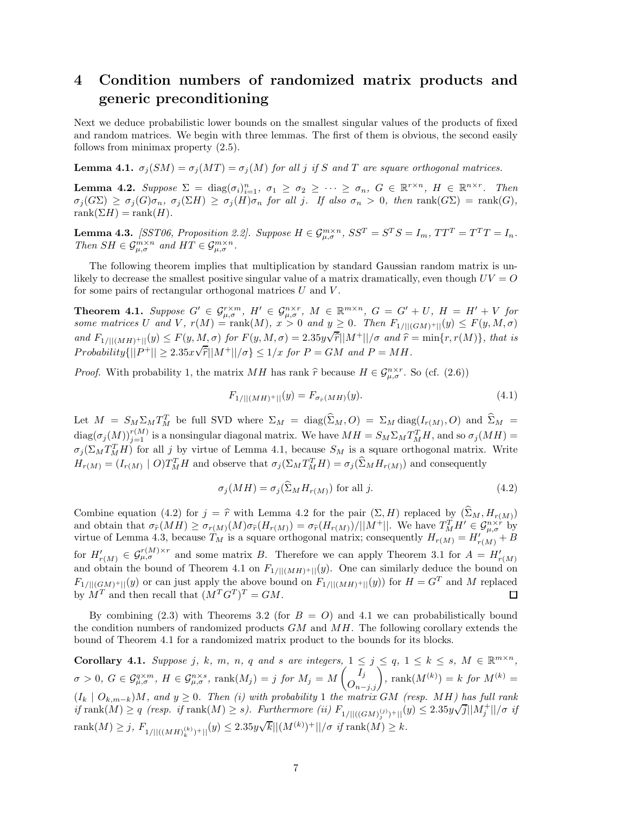# **4 Condition numbers of randomized matrix products and generic preconditioning**

Next we deduce probabilistic lower bounds on the smallest singular values of the products of fixed and random matrices. We begin with three lemmas. The first of them is obvious, the second easily follows from minimax property (2.5).

**Lemma 4.1.**  $\sigma_j(SM) = \sigma_j(MT) = \sigma_j(M)$  *for all j if S and T* are square orthogonal matrices.

**Lemma 4.2.** Suppose  $\Sigma = \text{diag}(\sigma_i)_{i=1}^n$ ,  $\sigma_1 \ge \sigma_2 \ge \cdots \ge \sigma_n$ ,  $G \in \mathbb{R}^{r \times n}$ ,  $H \in \mathbb{R}^{n \times r}$ . Then  $\sigma_i(G\Sigma) \geq \sigma_i(G)\sigma_n$ ,  $\sigma_i(\Sigma H) \geq \sigma_i(H)\sigma_n$  for all j. If also  $\sigma_n > 0$ , then rank $(G\Sigma) = \text{rank}(G)$ ,  $rank(\Sigma H) = rank(H)$ .

**Lemma 4.3.** [SST06, Proposition 2.2]. Suppose  $H \in \mathcal{G}_{\mu,\sigma}^{m \times n}$ ,  $SS^T = S^T S = I_m$ ,  $TT^T = T^T T = I_n$ . *Then*  $SH \in \mathcal{G}_{\mu,\sigma}^{m \times n}$  *and*  $HT \in \mathcal{G}_{\mu,\sigma}^{m \times n}$ .

The following theorem implies that multiplication by standard Gaussian random matrix is unlikely to decrease the smallest positive singular value of a matrix dramatically, even though  $UV = Q$ for some pairs of rectangular orthogonal matrices *U* and *V* .

**Theorem 4.1.** Suppose  $G' \in \mathcal{G}_{\mu,\sigma}^{r \times m}$ ,  $H' \in \mathcal{G}_{\mu,\sigma}^{n \times r}$ ,  $M \in \mathbb{R}^{m \times n}$ ,  $G = G' + U$ ,  $H = H' + V$  for some matrices U and V,  $r(M) = \text{rank}(M)$ ,  $x > 0$  and  $y \ge 0$ . Then  $F_{1/||(GM)^+||}(y) \le F(y, M, \sigma)$ and  $F_{1/||(MH)+||(y)} \leq F(y, M, \sigma)$  for  $F(y, M, \sigma) = 2.35y\sqrt{\hat{r}}||M^+||/\sigma$  and  $\hat{r} = \min\{r, r(M)\}\$ , that is  $Probability(||P^+|| \geq 2.35 \times \sqrt{\hat{r}}||M^+||/\sigma \} \leq 1/x$  *for*  $P = GM$  *and*  $P = MH$ *.* 

*Proof.* With probability 1, the matrix *MH* has rank  $\hat{r}$  because  $H \in \mathcal{G}_{\mu,\sigma}^{n \times r}$ . So (cf. (2.6))

$$
F_{1/||(MH)^{+}||}(y) = F_{\sigma_{\hat{r}}(MH)}(y). \tag{4.1}
$$

Let  $M = S_M \Sigma_M T_M^T$  be full SVD where  $\Sigma_M = \text{diag}(\widehat{\Sigma}_M, O) = \Sigma_M \text{diag}(I_{r(M)}, O)$  and  $\widehat{\Sigma}_M =$  $\text{diag}(\sigma_j(M))_{j=1}^{r(M)}$  is a nonsingular diagonal matrix. We have  $MH = S_M \Sigma_M T_M^T H$ , and so  $\sigma_j(MH) =$  $\sigma_j(\Sigma_M T_M^T H)$  for all *j* by virtue of Lemma 4.1, because  $S_M$  is a square orthogonal matrix. Write  $H_{r(M)} = (I_{r(M)} \mid O)T_M^T H$  and observe that  $\sigma_j(\Sigma_M T_M^T H) = \sigma_j(\widehat{\Sigma}_M H_{r(M)})$  and consequently

$$
\sigma_j(MH) = \sigma_j(\widehat{\Sigma}_M H_{r(M)}) \text{ for all } j.
$$
\n(4.2)

Combine equation (4.2) for  $j = \hat{r}$  with Lemma 4.2 for the pair  $(\Sigma, H)$  replaced by  $(\Sigma_M, H_{r(M)})$ and obtain that  $\sigma_{\widehat{r}}(MH) \geq \sigma_{r(M)}(M)\sigma_{\widehat{r}}(H_{r(M)}) = \sigma_{\widehat{r}}(H_{r(M)})/||M^+||$ . We have  $T_M^TH' \in \mathcal{G}_{\mu,\sigma}^{n \times r}$  by virtue of Lemma 4.3, because  $T_M$  is a square orthogonal matrix; consequently  $H_{r(M)} = H'_{r(M)} + B$ for  $H'_{r(M)} \in \mathcal{G}_{\mu,\sigma}^{r(M)\times r}$  and some matrix *B*. Therefore we can apply Theorem 3.1 for  $A = H'_{r(M)}$ and obtain the bound of Theorem 4.1 on  $F_{1/}||(MH)^+||(y)$ . One can similarly deduce the bound on  $F_{1/||(GM)^+||}(y)$  or can just apply the above bound on  $F_{1/||(MH)^+||}(y)$  for  $H = G^T$  and M replaced by  $M^T$  and then recall that  $(M^T G^T)^T = GM$ . □

By combining  $(2.3)$  with Theorems 3.2 (for  $B = O$ ) and 4.1 we can probabilistically bound the condition numbers of randomized products *GM* and *MH*. The following corollary extends the bound of Theorem 4.1 for a randomized matrix product to the bounds for its blocks.

**Corollary 4.1.** Suppose j, k, m, n, q and s are integers,  $1 \le j \le q$ ,  $1 \le k \le s$ ,  $M \in \mathbb{R}^{m \times n}$ ,  $\sigma > 0, G \in \mathcal{G}_{\mu,\sigma}^{q \times m}, H \in \mathcal{G}_{\mu,\sigma}^{n \times s}, \text{ rank}(M_j) = j \text{ for } M_j = M \left( \overline{I_j} \right)$ ,  $\text{rank}(M^{(k)}) = k \text{ for } M^{(k)} = \sigma$ (*I<sup>k</sup>* | *Ok,m*−*<sup>k</sup>*)*M, and y* ≥ 0*. Then (i) with probability* 1 *the matrix GM (resp. MH) has full rank*  $(i_k | O_{k,m-k})M$ , and  $y \ge 0$ . Then (i) with probability 1 the matrix  $GM$  (resp. MTI) has fait rank<br>if  $\text{rank}(M) \ge q$  (resp. if  $\text{rank}(M) \ge s$ ). Furthermore (ii)  $F_{1/||((GM)_j^{(j)})+||}(y) \le 2.35y\sqrt{j}||M_j^+||/\sigma$  if  $\text{rank}(M) \geq j$ ,  $F_{1/||((MH)_k^{(k)})^+||}(y) \leq 2.35y\sqrt{k}||(M^{(k)})^+||/\sigma \text{ if } \text{rank}(M) \geq k$ .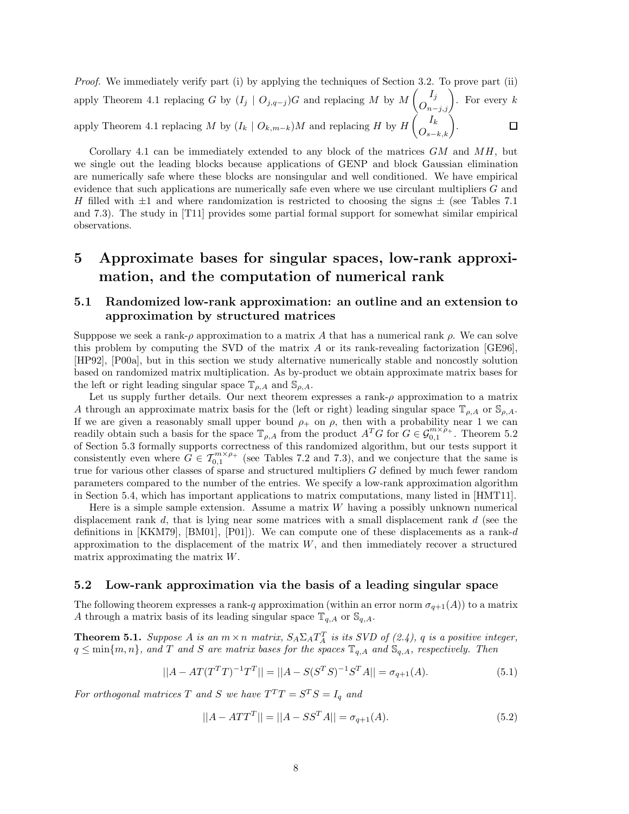*Proof.* We immediately verify part (i) by applying the techniques of Section 3.2. To prove part (ii) apply Theorem 4.1 replacing *G* by  $(I_j \mid O_{j,q-j})$ *G* and replacing *M* by *M*  $\begin{pmatrix} I_j \\ O_{n-j,j} \end{pmatrix}$ . For every *k* apply Theorem 4.1 replacing *M* by  $(I_k \mid O_{k,m-k})M$  and replacing *H* by *H*  $\left(\overrightarrow{O_{s-k,k}}\right).$ 

Corollary 4.1 can be immediately extended to any block of the matrices *GM* and *MH*, but we single out the leading blocks because applications of GENP and block Gaussian elimination are numerically safe where these blocks are nonsingular and well conditioned. We have empirical evidence that such applications are numerically safe even where we use circulant multipliers *G* and *H* filled with  $\pm 1$  and where randomization is restricted to choosing the signs  $\pm$  (see Tables 7.1) and 7.3). The study in [T11] provides some partial formal support for somewhat similar empirical observations.

# **5 Approximate bases for singular spaces, low-rank approximation, and the computation of numerical rank**

### **5.1 Randomized low-rank approximation: an outline and an extension to approximation by structured matrices**

Supppose we seek a rank- $\rho$  approximation to a matrix A that has a numerical rank  $\rho$ . We can solve this problem by computing the SVD of the matrix *A* or its rank-revealing factorization [GE96], [HP92], [P00a], but in this section we study alternative numerically stable and noncostly solution based on randomized matrix multiplication. As by-product we obtain approximate matrix bases for the left or right leading singular space  $\mathbb{T}_{\rho,A}$  and  $\mathbb{S}_{\rho,A}$ .

Let us supply further details. Our next theorem expresses a rank- $\rho$  approximation to a matrix *A* through an approximate matrix basis for the (left or right) leading singular space  $\mathbb{T}_{\rho,A}$  or  $\mathbb{S}_{\rho,A}$ . If we are given a reasonably small upper bound  $\rho_+$  on  $\rho$ , then with a probability near 1 we can readily obtain such a basis for the space  $\mathbb{T}_{\rho,A}$  from the product  $A^T G$  for  $G \in \mathcal{G}_{0,1}^{m \times \rho_+}$ . Theorem 5.2 of Section 5.3 formally supports correctness of this randomized algorithm, but our tests support it consistently even where  $G \in \mathcal{T}_{0,1}^{m \times \rho_+}$  (see Tables 7.2 and 7.3), and we conjecture that the same is true for various other classes of sparse and structured multipliers *G* defined by much fewer random parameters compared to the number of the entries. We specify a low-rank approximation algorithm in Section 5.4, which has important applications to matrix computations, many listed in [HMT11].

Here is a simple sample extension. Assume a matrix *W* having a possibly unknown numerical displacement rank *d*, that is lying near some matrices with a small displacement rank *d* (see the definitions in [KKM79], [BM01], [P01]). We can compute one of these displacements as a rank-*d* approximation to the displacement of the matrix *W*, and then immediately recover a structured matrix approximating the matrix *W*.

#### **5.2 Low-rank approximation via the basis of a leading singular space**

The following theorem expresses a rank-*q* approximation (within an error norm  $\sigma_{q+1}(A)$ ) to a matrix *A* through a matrix basis of its leading singular space  $\mathbb{T}_{q,A}$  or  $\mathbb{S}_{q,A}$ .

**Theorem 5.1.** *Suppose A is an*  $m \times n$  *matrix,*  $S_A \Sigma_A T_A^T$  *is its SVD of (2.4), q is a positive integer,*  $q \leq \min\{m, n\}$ *, and T and S are matrix bases for the spaces*  $\mathbb{T}_{q, A}$  *and*  $\mathbb{S}_{q, A}$ *, respectively. Then* 

$$
||A - AT(T^T T)^{-1}T^T|| = ||A - S(S^T S)^{-1}S^T A|| = \sigma_{q+1}(A). \tag{5.1}
$$

*For orthogonal matrices T and S we have*  $T^{T}T = S^{T}S = I_{q}$  *and* 

$$
||A - ATTT|| = ||A - SSTA|| = \sigma_{q+1}(A).
$$
\n(5.2)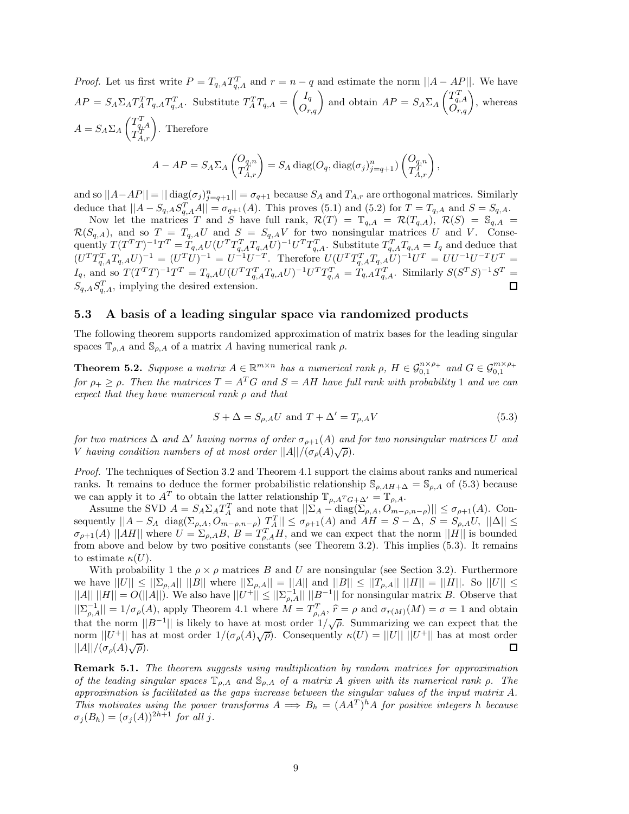*Proof.* Let us first write  $P = T_{q,A}T_{q,A}^T$  and  $r = n - q$  and estimate the norm  $||A - AP||$ . We have  $AP = S_A \Sigma_A T_A^T T_{q,A} T_{q,A}^T$ . Substitute  $T_A^T T_{q,A} = \begin{pmatrix} I_q \\ O_{r,q} \end{pmatrix}$  and obtain  $AP = S_A \Sigma_A$  $\begin{pmatrix} T_{q,A}^T \\ O_{r,q} \end{pmatrix}$ , whereas  $A = S_A \Sigma_A$  $\begin{pmatrix} T_{q,A}^T \\ T_{A,r}^T \end{pmatrix}$ . Therefore

$$
A - AP = S_A \Sigma_A \begin{pmatrix} O_{q,n} \\ T_{A,r}^T \end{pmatrix} = S_A \operatorname{diag}(O_q, \operatorname{diag}(\sigma_j)_{j=q+1}^n) \begin{pmatrix} O_{q,n} \\ T_{A,r}^T \end{pmatrix},
$$

and so  $||A - AP|| = || \text{diag}(\sigma_j)_{j=q+1}^n || = \sigma_{q+1}$  because  $S_A$  and  $T_{A,r}$  are orthogonal matrices. Similarly deduce that  $||A - S_{q,A}S_{q,A}^T A|| = \sigma_{q+1}(A)$ . This proves (5.1) and (5.2) for  $T = T_{q,A}$  and  $S = S_{q,A}$ .

Now let the matrices *T* and *S* have full rank,  $\mathcal{R}(T) = \mathbb{T}_{q,A} = \mathcal{R}(T_{q,A})$ ,  $\mathcal{R}(S) = \mathbb{S}_{q,A}$  $\mathcal{R}(S_{q,A})$ , and so  $T = T_{q,A}U$  and  $S = S_{q,A}V$  for two nonsingular matrices U and V. Consequently  $T(T^TT)^{-1}T^T = T_{q,A}U(U^TT_{q,A}^TT_{q,A}U)^{-1}U^TT_{q,A}^T$ . Substitute  $T_{q,A}^TT_{q,A} = I_q$  and deduce that  $(U^{T}T_{q,A}^{T}T_{q,A}U)^{-1} = (U^{T}U)^{-1} = U^{-1}U^{-T}$ . Therefore  $U(U^{T}T_{q,A}^{T}T_{q,A}U)^{-1}U^{T} = UU^{-1}U^{-T}U^{T} =$  $I_q$ , and so  $T(T^T T)^{-1} T^T = T_{q,A} U (U^T T_{q,A}^T T_{q,A} U)^{-1} U^T T_{q,A}^T = T_{q,A} T_{q,A}^T$ . Similarly  $S(S^T S)^{-1} S^T =$  $S_{q,A} S_{q,A}^T$ , implying the desired extension. 口

#### **5.3 A basis of a leading singular space via randomized products**

The following theorem supports randomized approximation of matrix bases for the leading singular spaces  $\mathbb{T}_{\rho,A}$  and  $\mathbb{S}_{\rho,A}$  of a matrix *A* having numerical rank  $\rho$ .

**Theorem 5.2.** Suppose a matrix  $A \in \mathbb{R}^{m \times n}$  has a numerical rank  $\rho$ ,  $H \in \mathcal{G}_{0,1}^{n \times \rho_+}$  and  $G \in \mathcal{G}_{0,1}^{m \times \rho_+}$ *for*  $\rho_{+} > \rho$ . Then the matrices  $T = A^T G$  and  $S = AH$  have full rank with probability 1 and we can *expect that they have numerical rank ρ and that*

$$
S + \Delta = S_{\rho,A} U \text{ and } T + \Delta' = T_{\rho,A} V \tag{5.3}
$$

*for two matrices*  $\Delta$  *and*  $\Delta'$  *having norms of order*  $\sigma_{\rho+1}(A)$  *and for two nonsingular matrices U and V having condition numbers of at most order*  $||A||/(\sigma_p(A)\sqrt{\rho})$ .

*Proof.* The techniques of Section 3.2 and Theorem 4.1 support the claims about ranks and numerical ranks. It remains to deduce the former probabilistic relationship  $\mathcal{S}_{\rho, AH+\Delta} = \mathcal{S}_{\rho,A}$  of (5.3) because we can apply it to  $A^T$  to obtain the latter relationship  $\mathbb{T}_{\rho,A^T G+\Delta'} = \mathbb{T}_{\rho,A}$ .

Assume the SVD  $A = S_A \Sigma_A T_A^T$  and note that  $||\Sigma_A - \text{diag}(\Sigma_{\rho,A}, O_{m-\rho,n-\rho})|| \leq \sigma_{\rho+1}(A)$ . Consequently  $||A - S_A \text{ diag}(\Sigma_{\rho,A}, O_{m-\rho,n-\rho}) \frac{T_A^T}{r_A}|| \le \sigma_{\rho+1}(A)$  and  $AH = S - \Delta, S = S_{\rho,A}U, ||\Delta|| \le$  $\sigma_{\rho+1}(A)$  ||*AH*|| where  $U = \Sigma_{\rho,A} B$ ,  $B = T_{\rho,A}^T H$ , and we can expect that the norm ||*H*|| is bounded from above and below by two positive constants (see Theorem 3.2). This implies (5.3). It remains to estimate  $\kappa(U)$ .

With probability 1 the  $\rho \times \rho$  matrices *B* and *U* are nonsingular (see Section 3.2). Furthermore we have  $||U|| \le ||\sum_{\rho,A}|| ||B||$  where  $||\sum_{\rho,A}|| = ||A||$  and  $||B|| \le ||T_{\rho,A}|| ||H|| = ||H||$ . So  $||U|| \le$  $||A|| \, ||H|| = O(||A||)$ . We also have  $||U^+|| \leq ||\Sigma_{\rho,A}^{-1}|| \, ||B^{-1}||$  for nonsingular matrix *B*. Observe that  $||\sum_{\rho,A}^{-1}|| = 1/\sigma_{\rho}(A)$ , apply Theorem 4.1 where  $M = T_{\rho,A}^T$ ,  $\hat{r} = \rho$  and  $\sigma_{r(M)}(M) = \sigma = 1$  and obtain that the norm  $||B^{-1}||$  is likely to have at most order  $1/\sqrt{\rho}$ . Summarizing we can expect that the norm  $||U^+||$  has at most order  $1/(\sigma_\rho(A)\sqrt{\rho})$ . Consequently  $\kappa(U) = ||U|| ||U^+||$  has at most order  $||A||/(\sigma_{\rho}(A)\sqrt{\rho}).$ □

**Remark 5.1.** *The theorem suggests using multiplication by random matrices for approximation of the leading singular spaces* T*ρ,A and* S*ρ,A of a matrix A given with its numerical rank ρ. The approximation is facilitated as the gaps increase between the singular values of the input matrix A. This motivates using the power transforms*  $A \implies B_h = (AA^T)^h A$  *for positive integers h because*  $\sigma_j(B_h)=(\sigma_j(A))^{2h+1}$  *for all j.*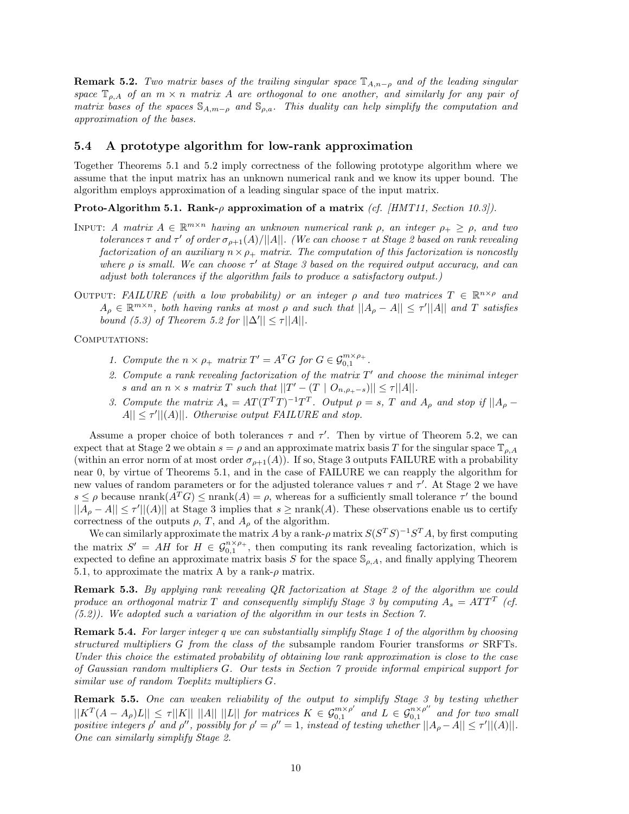**Remark 5.2.** *Two matrix bases of the trailing singular space* <sup>T</sup>*A,n*−*<sup>ρ</sup> and of the leading singular space*  $\mathbb{T}_{o,A}$  *of an*  $m \times n$  *matrix A are orthogonal to one another, and similarly for any pair of matrix bases of the spaces*  $\mathbb{S}_{A,m-\rho}$  *and*  $\mathbb{S}_{\rho,a}$ *. This duality can help simplify the computation and approximation of the bases.*

#### **5.4 A prototype algorithm for low-rank approximation**

Together Theorems 5.1 and 5.2 imply correctness of the following prototype algorithm where we assume that the input matrix has an unknown numerical rank and we know its upper bound. The algorithm employs approximation of a leading singular space of the input matrix.

**Proto-Algorithm 5.1. Rank-***ρ* **approximation of a matrix** *(cf. [HMT11, Section 10.3]).*

- INPUT: *A matrix*  $A \in \mathbb{R}^{m \times n}$  *having an unknown numerical rank*  $\rho$ *, an integer*  $\rho_+ \geq \rho$ *, and two tolerances*  $\tau$  *and*  $\tau'$  *of order*  $\sigma_{\rho+1}(A)/||A||$ *. (We can choose*  $\tau$  *at Stage 2 based on rank revealing factorization of an auxiliary*  $n \times \rho_+$  *matrix. The computation of this factorization is noncostly where ρ is small. We can choose τ at Stage 3 based on the required output accuracy, and can adjust both tolerances if the algorithm fails to produce a satisfactory output.)*
- OUTPUT: *FAILURE* (with a low probability) or an integer  $\rho$  and two matrices  $T \in \mathbb{R}^{n \times \rho}$  and  $A_{\rho} \in \mathbb{R}^{m \times n}$ , both having ranks at most  $\rho$  and such that  $||A_{\rho} - A|| \leq \tau'||A||$  and *T* satisfies *bound* (5.3) of Theorem 5.2 for  $||\Delta'|| \le \tau ||A||$ .

COMPUTATIONS:

- *1. Compute the*  $n \times \rho_+$  *matrix*  $T' = A^T G$  *for*  $G \in \mathcal{G}_{0,1}^{m \times \rho_+}$ *.*
- 2. Compute a rank revealing factorization of the matrix  $T'$  and choose the minimal integer *s* and an  $n \times s$  *matrix*  $T$  *such that*  $||T' - (T \mid O_{n, \rho_{+}-s})|| \leq \tau ||A||$ *.*
- 3. Compute the matrix  $A_s = AT(T^T T)^{-1}T^T$ . Output  $\rho = s$ , T and  $A_o$  and stop if  $||A_o A|| \leq \tau' ||(A)||$ *. Otherwise output FAILURE and stop.*

Assume a proper choice of both tolerances  $\tau$  and  $\tau'$ . Then by virtue of Theorem 5.2, we can expect that at Stage 2 we obtain  $s = \rho$  and an approximate matrix basis *T* for the singular space  $\mathbb{T}_{\rho,A}$ (within an error norm of at most order  $\sigma_{\rho+1}(A)$ ). If so, Stage 3 outputs FAILURE with a probability near 0, by virtue of Theorems 5.1, and in the case of FAILURE we can reapply the algorithm for new values of random parameters or for the adjusted tolerance values  $\tau$  and  $\tau'$ . At Stage 2 we have  $s \leq \rho$  because nrank $(A^T G) \leq \text{nrank}(A) = \rho$ , whereas for a sufficiently small tolerance  $\tau'$  the bound  $||A_\rho - A|| \leq \tau' ||(A)||$  at Stage 3 implies that  $s \geq \text{nrank}(A)$ . These observations enable us to certify correctness of the outputs  $\rho$ ,  $T$ , and  $A_{\rho}$  of the algorithm.

We can similarly approximate the matrix *A* by a rank- $\rho$  matrix  $S(S^T S)^{-1}S^T A$ , by first computing the matrix  $S' = AH$  for  $H \in \mathcal{G}_{0,1}^{n \times p_+}$ , then computing its rank revealing factorization, which is expected to define an approximate matrix basis *S* for the space  $\mathcal{S}_{\rho,A}$ , and finally applying Theorem 5.1, to approximate the matrix A by a rank- $\rho$  matrix.

**Remark 5.3.** *By applying rank revealing QR factorization at Stage 2 of the algorithm we could produce an orthogonal matrix T* and consequently simplify Stage 3 by computing  $A_s = ATT$  (cf. *(5.2)). We adopted such a variation of the algorithm in our tests in Section 7.*

**Remark 5.4.** *For larger integer q we can substantially simplify Stage 1 of the algorithm by choosing structured multipliers G from the class of the* subsample random Fourier transforms *or* SRFTs*. Under this choice the estimated probability of obtaining low rank approximation is close to the case of Gaussian random multipliers G. Our tests in Section 7 provide informal empirical support for similar use of random Toeplitz multipliers G.*

**Remark 5.5.** *One can weaken reliability of the output to simplify Stage 3 by testing whether*  $||K^T(A-A_\rho)L|| \leq \tau ||K|| ||A|| ||L||$  for matrices  $K \in \mathcal{G}_{0,1}^{m \times \rho'}$  and  $L \in \mathcal{G}_{0,1}^{n \times \rho''}$  and for two small *positive integers*  $\rho'$  *and*  $\rho''$ , possibly for  $\rho' = \rho'' = 1$ , instead of testing whether  $||A_{\rho} - A|| \leq \tau'||(A)||$ . *One can similarly simplify Stage 2.*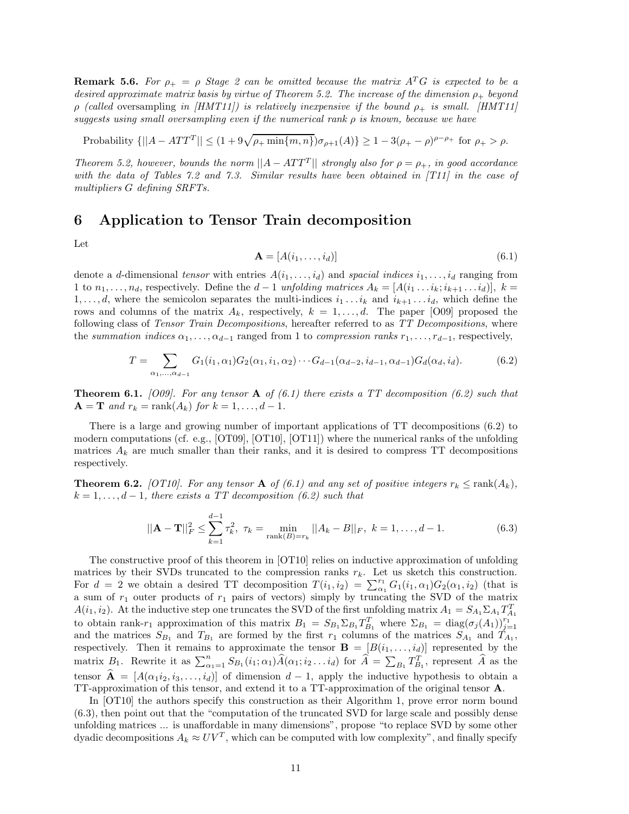**Remark 5.6.** *For*  $\rho_+ = \rho$  *Stage 2 can be omitted because the matrix*  $A^T G$  *is expected to be a desired approximate matrix basis by virtue of Theorem 5.2. The increase of the dimension ρ*<sup>+</sup> *beyond ρ (called* oversampling *in [HMT11]) is relatively inexpensive if the bound ρ*<sup>+</sup> *is small. [HMT11] suggests using small oversampling even if the numerical rank ρ is known, because we have*

 $\text{Probability } \{||A - ATT^T|| \leq (1 + 9\sqrt{\rho_+ \min\{m, n\}})\sigma_{\rho+1}(A)\} \geq 1 - 3(\rho_+ - \rho)^{\rho-\rho_+} \text{ for } \rho_+ > \rho.$ 

*Theorem 5.2, however, bounds the norm*  $||A - ATT^T||$  *strongly also for*  $\rho = \rho_+$ *, in good accordance with the data of Tables 7.2 and 7.3. Similar results have been obtained in [T11] in the case of multipliers G defining SRFTs.*

### **6 Application to Tensor Train decomposition**

Let

$$
\mathbf{A} = [A(i_1, \dots, i_d)] \tag{6.1}
$$

denote a *d*-dimensional *tensor* with entries  $A(i_1, \ldots, i_d)$  and *spacial indices*  $i_1, \ldots, i_d$  ranging from 1 to  $n_1, \ldots, n_d$ , respectively. Define the  $d-1$  *unfolding matrices*  $A_k = [A(i_1 \ldots i_k; i_{k+1} \ldots i_d)], k =$ 1,...,d, where the semicolon separates the multi-indices  $i_1 \tildot i_k$  and  $i_{k+1} \tildot i_k$ , which define the rows and columns of the matrix  $A_k$ , respectively,  $k = 1, \ldots, d$ . The paper [O09] proposed the following class of *Tensor Train Decompositions*, hereafter referred to as *TT Decompositions*, where the *summation indices*  $\alpha_1, \ldots, \alpha_{d-1}$  ranged from 1 to *compression ranks*  $r_1, \ldots, r_{d-1}$ , respectively,

$$
T = \sum_{\alpha_1, \dots, \alpha_{d-1}} G_1(i_1, \alpha_1) G_2(\alpha_1, i_1, \alpha_2) \cdots G_{d-1}(\alpha_{d-2}, i_{d-1}, \alpha_{d-1}) G_d(\alpha_d, i_d).
$$
(6.2)

**Theorem 6.1.** *[O09]. For any tensor* **A** *of (6.1) there exists a TT decomposition (6.2) such that*  $A = T$  *and*  $r_k = \text{rank}(A_k)$  *for*  $k = 1, ..., d - 1$ *.* 

There is a large and growing number of important applications of TT decompositions (6.2) to modern computations (cf. e.g., [OT09], [OT10], [OT11]) where the numerical ranks of the unfolding matrices  $A_k$  are much smaller than their ranks, and it is desired to compress TT decompositions respectively.

**Theorem 6.2.** *[OT10]. For any tensor* **A** *of* (6.1) and any set of positive integers  $r_k \leq \text{rank}(A_k)$ ,  $k = 1, \ldots, d - 1$ *, there exists a TT decomposition (6.2) such that* 

$$
||\mathbf{A} - \mathbf{T}||_F^2 \le \sum_{k=1}^{d-1} \tau_k^2, \ \tau_k = \min_{\text{rank}(B) = r_k} ||A_k - B||_F, \ k = 1, \dots, d-1.
$$
 (6.3)

The constructive proof of this theorem in [OT10] relies on inductive approximation of unfolding matrices by their SVDs truncated to the compression ranks  $r_k$ . Let us sketch this construction. For  $d = 2$  we obtain a desired TT decomposition  $T(i_1, i_2) = \sum_{\alpha_1}^{r_1} G_1(i_1, \alpha_1) G_2(\alpha_1, i_2)$  (that is a sum of *r*<sup>1</sup> outer products of *r*<sup>1</sup> pairs of vectors) simply by truncating the SVD of the matrix *A*(*i*<sub>1</sub>, *i*<sub>2</sub>). At the inductive step one truncates the SVD of the first unfolding matrix  $A_1 = S_{A_1} \Sigma_{A_1} T_{A_1}^T$ to obtain rank-*r*<sub>1</sub> approximation of this matrix  $B_1 = S_{B_1} \Sigma_{B_1} T_{B_1}^T$  where  $\Sigma_{B_1} = \text{diag}(\sigma_j(A_1))_{j=1}^{r_1}$ and the matrices  $S_{B_1}$  and  $T_{B_1}$  are formed by the first  $r_1$  columns of the matrices  $S_{A_1}$  and  $T_{A_1}$ , respectively. Then it remains to approximate the tensor  $\mathbf{B} = [B(i_1, \ldots, i_d)]$  represented by the matrix  $B_1$ . Rewrite it as  $\sum_{\alpha_1=1}^n S_{B_1}(i_1;\alpha_1)\widehat{A}(\alpha_1;i_2...i_d)$  for  $\widehat{A} = \sum_{B_1} T_{B_1}^T$ , represent  $\widehat{A}$  as the tensor  $\mathbf{A} = [A(\alpha_1 i_2, i_3, \ldots, i_d)]$  of dimension  $d-1$ , apply the inductive hypothesis to obtain a TT-approximation of this tensor, and extend it to a TT-approximation of the original tensor **A**.

In [OT10] the authors specify this construction as their Algorithm 1, prove error norm bound (6.3), then point out that the "computation of the truncated SVD for large scale and possibly dense unfolding matrices ... is unaffordable in many dimensions", propose "to replace SVD by some other dyadic decompositions  $A_k \approx UV^T$ , which can be computed with low complexity", and finally specify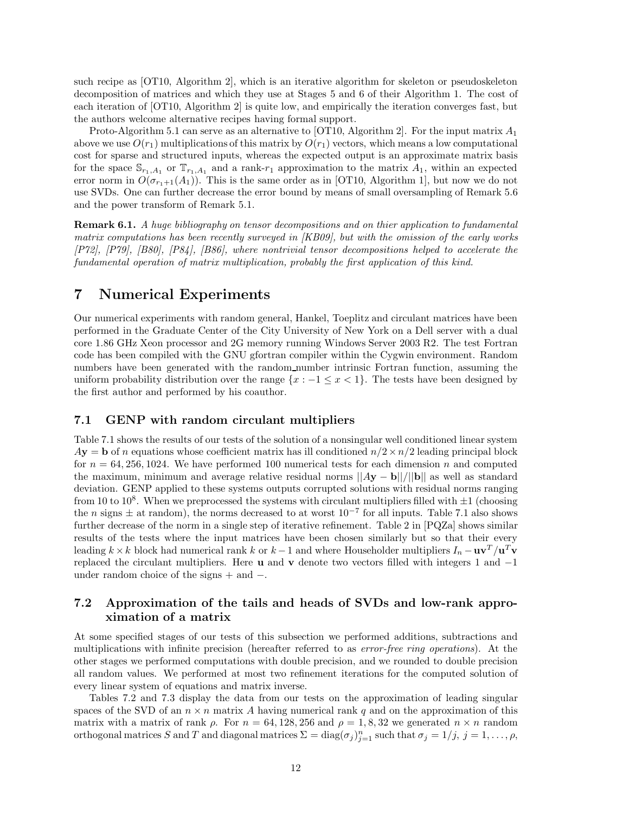such recipe as [OT10, Algorithm 2], which is an iterative algorithm for skeleton or pseudoskeleton decomposition of matrices and which they use at Stages 5 and 6 of their Algorithm 1. The cost of each iteration of [OT10, Algorithm 2] is quite low, and empirically the iteration converges fast, but the authors welcome alternative recipes having formal support.

Proto-Algorithm 5.1 can serve as an alternative to [OT10, Algorithm 2]. For the input matrix *A*1 above we use  $O(r_1)$  multiplications of this matrix by  $O(r_1)$  vectors, which means a low computational cost for sparse and structured inputs, whereas the expected output is an approximate matrix basis for the space  $\mathbb{S}_{r_1,A_1}$  or  $\mathbb{T}_{r_1,A_1}$  and a rank- $r_1$  approximation to the matrix  $A_1$ , within an expected error norm in  $O(\sigma_{r+1}(A_1))$ . This is the same order as in [OT10, Algorithm 1], but now we do not use SVDs. One can further decrease the error bound by means of small oversampling of Remark 5.6 and the power transform of Remark 5.1.

**Remark 6.1.** *A huge bibliography on tensor decompositions and on thier application to fundamental matrix computations has been recently surveyed in [KB09], but with the omission of the early works [P72], [P79], [B80], [P84], [B86], where nontrivial tensor decompositions helped to accelerate the fundamental operation of matrix multiplication, probably the first application of this kind.*

## **7 Numerical Experiments**

Our numerical experiments with random general, Hankel, Toeplitz and circulant matrices have been performed in the Graduate Center of the City University of New York on a Dell server with a dual core 1.86 GHz Xeon processor and 2G memory running Windows Server 2003 R2. The test Fortran code has been compiled with the GNU gfortran compiler within the Cygwin environment. Random numbers have been generated with the random number intrinsic Fortran function, assuming the uniform probability distribution over the range  $\{x : -1 \leq x < 1\}$ . The tests have been designed by the first author and performed by his coauthor.

#### **7.1 GENP with random circulant multipliers**

Table 7.1 shows the results of our tests of the solution of a nonsingular well conditioned linear system  $A$ **y** = **b** of *n* equations whose coefficient matrix has ill conditioned  $n/2 \times n/2$  leading principal block for  $n = 64,256,1024$ . We have performed 100 numerical tests for each dimension *n* and computed the maximum, minimum and average relative residual norms ||*A***y** − **b**||*/*||**b**|| as well as standard deviation. GENP applied to these systems outputs corrupted solutions with residual norms ranging from 10 to 10<sup>8</sup>. When we preprocessed the systems with circulant multipliers filled with  $\pm 1$  (choosing the *n* signs  $\pm$  at random), the norms decreased to at worst  $10^{-7}$  for all inputs. Table 7.1 also shows further decrease of the norm in a single step of iterative refinement. Table 2 in [PQZa] shows similar results of the tests where the input matrices have been chosen similarly but so that their every leading  $k \times k$  block had numerical rank *k* or  $k - 1$  and where Householder multipliers  $I_n - \mathbf{u}\mathbf{v}^T/\mathbf{u}^T\mathbf{v}$ replaced the circulant multipliers. Here **u** and **v** denote two vectors filled with integers 1 and −1 under random choice of the signs + and −.

### **7.2 Approximation of the tails and heads of SVDs and low-rank approximation of a matrix**

At some specified stages of our tests of this subsection we performed additions, subtractions and multiplications with infinite precision (hereafter referred to as *error-free ring operations*). At the other stages we performed computations with double precision, and we rounded to double precision all random values. We performed at most two refinement iterations for the computed solution of every linear system of equations and matrix inverse.

Tables 7.2 and 7.3 display the data from our tests on the approximation of leading singular spaces of the SVD of an  $n \times n$  matrix A having numerical rank q and on the approximation of this matrix with a matrix of rank  $\rho$ . For  $n = 64, 128, 256$  and  $\rho = 1, 8, 32$  we generated  $n \times n$  random orthogonal matrices *S* and *T* and diagonal matrices  $\Sigma = \text{diag}(\sigma_j)_{j=1}^n$  such that  $\sigma_j = 1/j$ ,  $j = 1, \ldots, \rho$ ,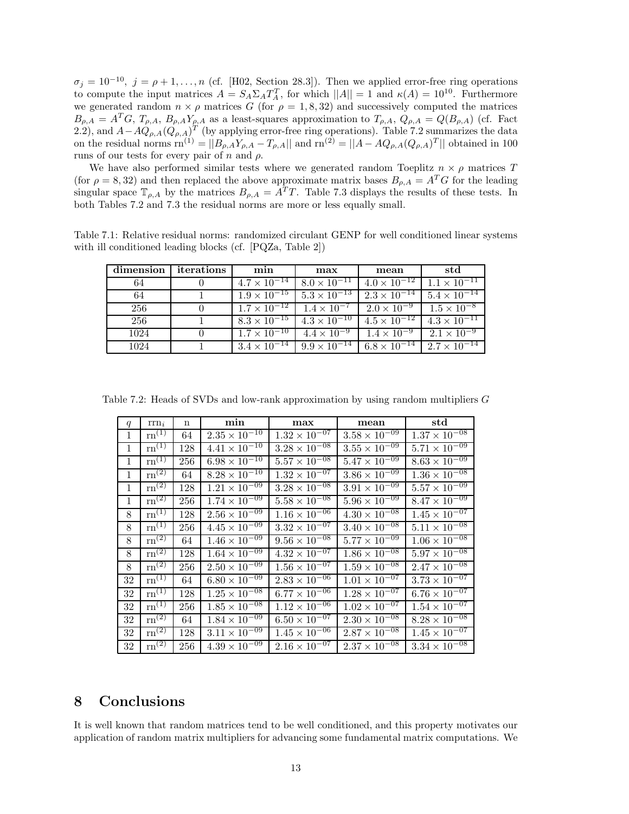$\sigma_j = 10^{-10}$ ,  $j = \rho + 1, \ldots, n$  (cf. [H02, Section 28.3]). Then we applied error-free ring operations to compute the input matrices  $A = S_A \Sigma_A T_A^T$ , for which  $||A|| = 1$  and  $\kappa(A) = 10^{10}$ . Furthermore we generated random  $n \times \rho$  matrices *G* (for  $\rho = 1, 8, 32$ ) and successively computed the matrices  $B_{\rho,A} = A^T G$ ,  $T_{\rho,A}$ ,  $B_{\rho,A} Y_{\rho,A}$  as a least-squares approximation to  $T_{\rho,A}$ ,  $Q_{\rho,A} = Q(B_{\rho,A})$  (cf. Fact 2.2), and  $A-AQ_{\rho,A}(Q_{\rho,A})^T$  (by applying error-free ring operations). Table 7.2 summarizes the data on the residual norms  $\text{rn}^{(1)} = ||B_{\rho,A}Y_{\rho,A} - T_{\rho,A}||$  and  $\text{rn}^{(2)} = ||A - AQ_{\rho,A}(Q_{\rho,A})^T||$  obtained in 100 runs of our tests for every pair of *n* and *ρ*.

We have also performed similar tests where we generated random Toeplitz  $n \times \rho$  matrices *T* (for  $\rho = 8,32$ ) and then replaced the above approximate matrix bases  $B_{\rho,A} = A^T G$  for the leading singular space  $\mathbb{T}_{\rho,A}$  by the matrices  $B_{\rho,A} = A^T T$ . Table 7.3 displays the results of these tests. In both Tables 7.2 and 7.3 the residual norms are more or less equally small.

Table 7.1: Relative residual norms: randomized circulant GENP for well conditioned linear systems with ill conditioned leading blocks (cf. [PQZa, Table 2])

| dimension | iterations | min                   | max                                                                              | mean                                        | std                         |
|-----------|------------|-----------------------|----------------------------------------------------------------------------------|---------------------------------------------|-----------------------------|
| 64        |            | $4.7 \times 10^{-14}$ | $8.0 \times 10^{-11}$                                                            | $4.0 \times 10^{-12}$                       | $1.1 \times 10^{-11}$       |
| 64        |            | $1.9 \times 10^{-15}$ | $5.3 \times \overline{10^{-13}}$                                                 | $2.3 \times 10^{-14}$                       | $5.4 \times 10^{-14}$       |
| 256       |            |                       | $1.7 \times 10^{-12}$   $1.4 \times 10^{-7}$   $2.0 \times 10^{-9}$              |                                             | $\sqrt{1.5 \times 10^{-8}}$ |
| 256       |            |                       | $8.3 \times 10^{-15}$   $4.3 \times \overline{10^{-10}}$   $4.5 \times 10^{-12}$ |                                             | $4.3 \times 10^{-11}$       |
| 1024      |            | $1.7 \times 10^{-10}$ | $4.4 \times 10^{-9}$ 1.4 $\times 10^{-9}$                                        |                                             | $2.1 \times 10^{-9}$        |
| 1024      |            | $3.4 \times 10^{-14}$ |                                                                                  | $9.9 \times 10^{-14}$ 6.8 $\times 10^{-14}$ | $2.7 \times 10^{-14}$       |

Table 7.2: Heads of SVDs and low-rank approximation by using random multipliers *G*

| q            | $\text{rrn}_i$                            | n   | min                    | max                               | mean                   | std                               |
|--------------|-------------------------------------------|-----|------------------------|-----------------------------------|------------------------|-----------------------------------|
| $\mathbf 1$  | $\mathrm{rn}^{(1)}$                       | 64  | $2.35 \times 10^{-10}$ | $1.32 \times 10^{-07}$            | $3.58 \times 10^{-09}$ | $1.37 \times 10^{-08}$            |
| 1            | $\overline{\mathrm{rn}^{(1)}}$            | 128 | $4.41 \times 10^{-10}$ | $3.28 \times 10^{-08}$            | $3.55 \times 10^{-09}$ | $5.71 \times 10^{-09}$            |
| $\mathbf{1}$ | $\overline{\text{rn}}^{(1)}$              | 256 | $6.98 \times 10^{-10}$ | $5.57 \times 10^{-08}$            | $5.47 \times 10^{-09}$ | $8.63 \times 10^{-09}$            |
| 1            | $\rm{rn}^{(2)}$                           | 64  | $8.28 \times 10^{-10}$ | $1.32 \times 10^{-07}$            | $3.86 \times 10^{-09}$ | $1.36 \times 10^{-08}$            |
| $\mathbf{1}$ | $\overline{\mathrm{rn}^{(2)}}$            | 128 | $1.21 \times 10^{-09}$ | $3.28 \times 10^{-08}$            | $3.91 \times 10^{-09}$ | $5.57 \times 10^{-09}$            |
| $\mathbf{1}$ | $\mathrm{rn}^{(2)}$                       | 256 | $1.74 \times 10^{-09}$ | $5.58 \times 10^{-08}$            | $5.96 \times 10^{-09}$ | $8.47 \times 10^{-09}$            |
| 8            | $\mathrm{rn}^{(1)}$                       | 128 | $2.56 \times 10^{-09}$ | $1.16 \times 10^{-\overline{06}}$ | $4.30 \times 10^{-08}$ | $1.45 \times 10^{-07}$            |
| 8            | $\mathrm{rn}^{(1)}$                       | 256 | $4.45 \times 10^{-09}$ | $3.32 \times 10^{-07}$            | $3.40 \times 10^{-08}$ | $5.11 \times 10^{-08}$            |
| 8            | $\mathrm{rn}^{(2)}$                       | 64  | $1.46 \times 10^{-09}$ | $9.56 \times 10^{-08}$            | $5.77 \times 10^{-09}$ | $1.06 \times 10^{-08}$            |
| 8            | $\overline{\text{rn}^{(2)}}$              | 128 | $1.64 \times 10^{-09}$ | $4.32 \times 10^{-07}$            | $1.86 \times 10^{-08}$ | $5.97 \times 10^{-08}$            |
| 8            | $\mathrm{rn}^{(2)}$                       | 256 | $2.50 \times 10^{-09}$ | $1.56 \times 10^{-07}$            | $1.59 \times 10^{-08}$ | $2.47 \times 10^{-08}$            |
| 32           | $\text{rn}^{(1)}$                         | 64  | $6.80 \times 10^{-09}$ | $2.83 \times 10^{-06}$            | $1.01 \times 10^{-07}$ | $3.73 \times 10^{-07}$            |
| 32           | $\overline{\mathrm{rn}}^{(1)}$            | 128 | $1.25 \times 10^{-08}$ | $6.77 \times 10^{-06}$            | $1.28 \times 10^{-07}$ | $6.76 \times \overline{10^{-07}}$ |
| 32           | $\overline{\text{rn}^{(1)}}$              | 256 | $1.85 \times 10^{-08}$ | $1.12 \times 10^{-06}$            | $1.02 \times 10^{-07}$ | $1.54 \times 10^{-07}$            |
| 32           | $\overline{\mathrm{rn}}^{\left(2\right)}$ | 64  | $1.84 \times 10^{-09}$ | $6.50 \times 10^{-07}$            | $2.30 \times 10^{-08}$ | $8.28 \times 10^{-08}$            |
| 32           | $\overline{\text{rn}^{(2)}}$              | 128 | $3.11 \times 10^{-09}$ | $1.45 \times 10^{-\overline{06}}$ | $2.87 \times 10^{-08}$ | $1.45 \times 10^{-07}$            |
| 32           | $\overline{\mathrm{rn}^{(2)}}$            | 256 | $4.39 \times 10^{-09}$ | $2.16 \times 10^{-07}$            | $2.37 \times 10^{-08}$ | $3.34 \times 10^{-08}$            |

## **8 Conclusions**

It is well known that random matrices tend to be well conditioned, and this property motivates our application of random matrix multipliers for advancing some fundamental matrix computations. We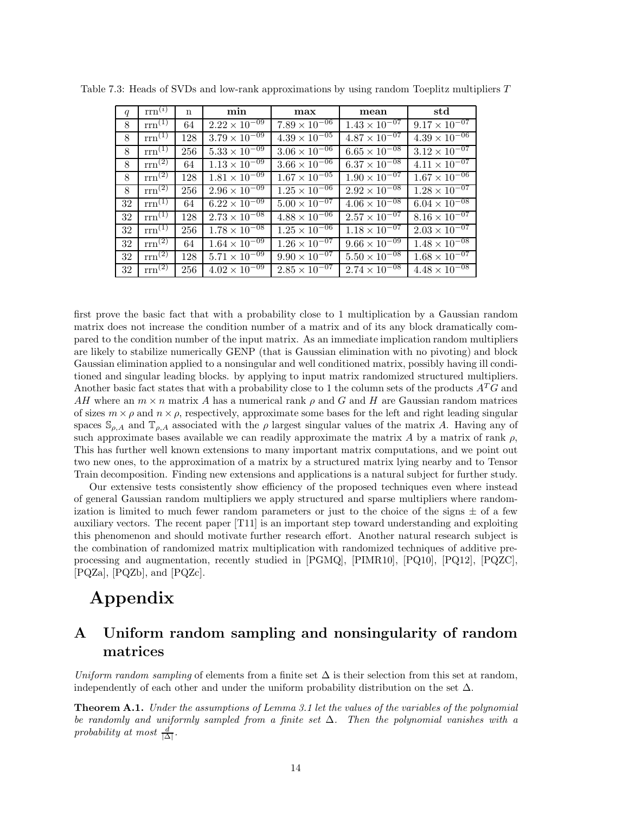| q  | $\text{rrn}^{(i)}$ | $\mathbf n$ | min                               | max                               | mean                              | std                    |
|----|--------------------|-------------|-----------------------------------|-----------------------------------|-----------------------------------|------------------------|
| 8  | $rm^{(1)}$         | 64          | $2.22 \times 10^{-09}$            | $7.89 \times 10^{-06}$            | $1.43 \times 10^{-07}$            | $9.17 \times 10^{-07}$ |
| 8  | $rm^{(1)}$         | 128         | $3.79 \times 10^{-09}$            | $4.39 \times 10^{-05}$            | $4.87 \times 10^{-07}$            | $4.39 \times 10^{-06}$ |
| 8  | $rm^{(1)}$         | 256         | $5.33 \times 10^{-09}$            | $3.06 \times 10^{-\overline{06}}$ | $6.65 \times 10^{-08}$            | $3.12 \times 10^{-07}$ |
| 8  | $rm^{(2)}$         | 64          | $1.13 \times 10^{-09}$            | $3.66 \times 10^{-06}$            | $6.37 \times 10^{-08}$            | $4.11 \times 10^{-07}$ |
| 8  | $rm^{(2)}$         | 128         | $1.81 \times 10^{-09}$            | $1.67 \times 10^{-05}$            | $1.90 \times 10^{-\overline{07}}$ | $1.67 \times 10^{-06}$ |
| 8  | $rm^{(2)}$         | 256         | $2.96 \times 10^{-09}$            | $1.25 \times 10^{-06}$            | $2.92 \times 10^{-08}$            | $1.28 \times 10^{-07}$ |
| 32 | $rm^{(1)}$         | 64          | $6.22 \times 10^{-09}$            | $5.00 \times 10^{-07}$            | $4.06 \times 10^{-08}$            | $6.04 \times 10^{-08}$ |
| 32 | $rm^{(1)}$         | 128         | $2.73 \times 10^{-\overline{08}}$ | $4.88 \times 10^{-06}$            | $2.57 \times 10^{-07}$            | $8.16 \times 10^{-07}$ |
| 32 | $rm^{(1)}$         | 256         | $1.78 \times 10^{-08}$            | $1.25 \times 10^{-06}$            | $1.18 \times 10^{-07}$            | $2.03 \times 10^{-07}$ |
| 32 | $rm^{(2)}$         | 64          | $1.64 \times 10^{-09}$            | $1.26 \times 10^{-07}$            | $9.66 \times 10^{-09}$            | $1.48 \times 10^{-08}$ |
| 32 | $rm^{(2)}$         | 128         | $5.71 \times 10^{-09}$            | $9.90 \times 10^{-07}$            | $5.50 \times 10^{-08}$            | $1.68 \times 10^{-07}$ |
| 32 | $rm^{(2)}$         | 256         | $4.02 \times 10^{-09}$            | $2.85 \times 10^{-07}$            | $2.74 \times 10^{-08}$            | $4.48 \times 10^{-08}$ |

Table 7.3: Heads of SVDs and low-rank approximations by using random Toeplitz multipliers *T*

first prove the basic fact that with a probability close to 1 multiplication by a Gaussian random matrix does not increase the condition number of a matrix and of its any block dramatically compared to the condition number of the input matrix. As an immediate implication random multipliers are likely to stabilize numerically GENP (that is Gaussian elimination with no pivoting) and block Gaussian elimination applied to a nonsingular and well conditioned matrix, possibly having ill conditioned and singular leading blocks. by applying to input matrix randomized structured multipliers. Another basic fact states that with a probability close to 1 the column sets of the products *A<sup>T</sup>G* and *AH* where an  $m \times n$  matrix *A* has a numerical rank  $\rho$  and *G* and *H* are Gaussian random matrices of sizes  $m \times \rho$  and  $n \times \rho$ , respectively, approximate some bases for the left and right leading singular spaces  $\mathcal{S}_{\rho,A}$  and  $\mathbb{T}_{\rho,A}$  associated with the  $\rho$  largest singular values of the matrix *A*. Having any of such approximate bases available we can readily approximate the matrix  $A$  by a matrix of rank  $\rho$ , This has further well known extensions to many important matrix computations, and we point out two new ones, to the approximation of a matrix by a structured matrix lying nearby and to Tensor Train decomposition. Finding new extensions and applications is a natural subject for further study.

Our extensive tests consistently show efficiency of the proposed techniques even where instead of general Gaussian random multipliers we apply structured and sparse multipliers where randomization is limited to much fewer random parameters or just to the choice of the signs  $\pm$  of a few auxiliary vectors. The recent paper [T11] is an important step toward understanding and exploiting this phenomenon and should motivate further research effort. Another natural research subject is the combination of randomized matrix multiplication with randomized techniques of additive preprocessing and augmentation, recently studied in [PGMQ], [PIMR10], [PQ10], [PQ12], [PQZC], [PQZa], [PQZb], and [PQZc].

# **Appendix**

# **A Uniform random sampling and nonsingularity of random matrices**

*Uniform random sampling* of elements from a finite set  $\Delta$  is their selection from this set at random, independently of each other and under the uniform probability distribution on the set  $\Delta$ .

**Theorem A.1.** *Under the assumptions of Lemma 3.1 let the values of the variables of the polynomial be randomly and uniformly sampled from a finite set* ∆*. Then the polynomial vanishes with a*  $\text{probability at most } \frac{d}{|\Delta|}.$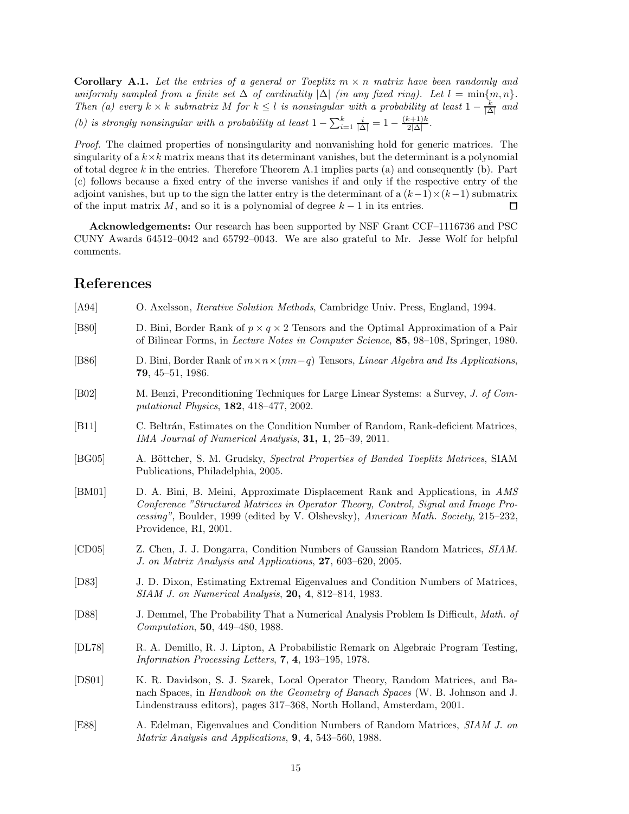**Corollary A.1.** Let the entries of a general or Toeplitz  $m \times n$  matrix have been randomly and *uniformly sampled from a finite set*  $\Delta$  *of cardinality*  $|\Delta|$  *(in any fixed ring). Let*  $l = \min\{m, n\}$ *. Then* (a) every  $k \times k$  *submatrix*  $M$  *for*  $k \leq l$  *is nonsingular with a probability at least*  $1 - \frac{k}{|\Delta|}$  *and (b) is strongly nonsingular with a probability at least*  $1 - \sum_{i=1}^{k} \frac{i}{|\Delta|} = 1 - \frac{(k+1)k}{2|\Delta|}$ .

*Proof.* The claimed properties of nonsingularity and nonvanishing hold for generic matrices. The singularity of a  $k \times k$  matrix means that its determinant vanishes, but the determinant is a polynomial of total degree *k* in the entries. Therefore Theorem A.1 implies parts (a) and consequently (b). Part (c) follows because a fixed entry of the inverse vanishes if and only if the respective entry of the adjoint vanishes, but up to the sign the latter entry is the determinant of a  $(k-1)\times(k-1)$  submatrix of the input matrix *M*, and so it is a polynomial of degree *k* − 1 in its entries. □

**Acknowledgements:** Our research has been supported by NSF Grant CCF–1116736 and PSC CUNY Awards 64512–0042 and 65792–0043. We are also grateful to Mr. Jesse Wolf for helpful comments.

## **References**

| [A94]          | O. Axelsson, <i>Iterative Solution Methods</i> , Cambridge Univ. Press, England, 1994.                                                                                                                                                                                            |
|----------------|-----------------------------------------------------------------------------------------------------------------------------------------------------------------------------------------------------------------------------------------------------------------------------------|
| [ <b>B80</b> ] | D. Bini, Border Rank of $p \times q \times 2$ Tensors and the Optimal Approximation of a Pair<br>of Bilinear Forms, in <i>Lecture Notes in Computer Science</i> , <b>85</b> , 98–108, Springer, 1980.                                                                             |
| [ <b>B86</b> ] | D. Bini, Border Rank of $m \times n \times (mn-q)$ Tensors, <i>Linear Algebra and Its Applications</i> ,<br>$79, 45-51, 1986.$                                                                                                                                                    |
| [ <b>B02</b> ] | M. Benzi, Preconditioning Techniques for Large Linear Systems: a Survey, J. of Com-<br>putational Physics, $182, 418-477, 2002$ .                                                                                                                                                 |
| [B11]          | C. Beltrán, Estimates on the Condition Number of Random, Rank-deficient Matrices,<br>IMA Journal of Numerical Analysis, 31, 1, 25–39, 2011.                                                                                                                                       |
| [BG05]         | A. Böttcher, S. M. Grudsky, Spectral Properties of Banded Toeplitz Matrices, SIAM<br>Publications, Philadelphia, 2005.                                                                                                                                                            |
| [BM01]         | D. A. Bini, B. Meini, Approximate Displacement Rank and Applications, in AMS<br>Conference "Structured Matrices in Operator Theory, Control, Signal and Image Pro-<br>cessing", Boulder, 1999 (edited by V. Olshevsky), American Math. Society, 215–232,<br>Providence, RI, 2001. |
| [CD05]         | Z. Chen, J. J. Dongarra, Condition Numbers of Gaussian Random Matrices, SIAM.<br>J. on Matrix Analysis and Applications, 27, 603-620, 2005.                                                                                                                                       |
| [D83]          | J. D. Dixon, Estimating Extremal Eigenvalues and Condition Numbers of Matrices,<br>SIAM J. on Numerical Analysis, 20, 4, 812-814, 1983.                                                                                                                                           |
| [D88]          | J. Demmel, The Probability That a Numerical Analysis Problem Is Difficult, Math. of<br>Computation, 50, 449-480, 1988.                                                                                                                                                            |
| [DL78]         | R. A. Demillo, R. J. Lipton, A Probabilistic Remark on Algebraic Program Testing,<br><i>Information Processing Letters,</i> $7, 4, 193-195, 1978.$                                                                                                                                |
| [DS01]         | K. R. Davidson, S. J. Szarek, Local Operator Theory, Random Matrices, and Ba-<br>nach Spaces, in Handbook on the Geometry of Banach Spaces (W. B. Johnson and J.<br>Lindenstrauss editors), pages 317–368, North Holland, Amsterdam, 2001.                                        |
| [E88]          | A. Edelman, Eigenvalues and Condition Numbers of Random Matrices, SIAM J. on<br>Matrix Analysis and Applications, 9, 4, 543-560, 1988.                                                                                                                                            |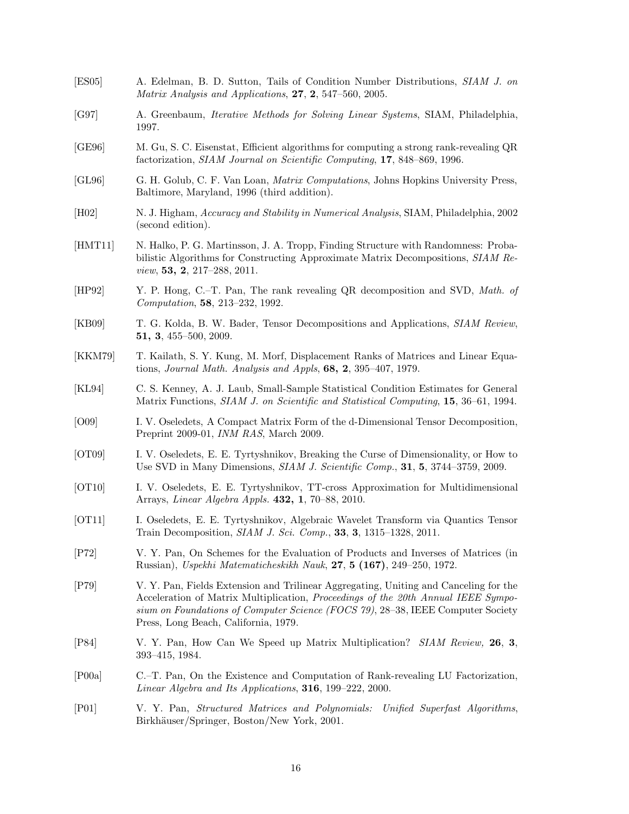- [ES05] A. Edelman, B. D. Sutton, Tails of Condition Number Distributions, *SIAM J. on Matrix Analysis and Applications*, **27**, **2**, 547–560, 2005.
- [G97] A. Greenbaum, *Iterative Methods for Solving Linear Systems*, SIAM, Philadelphia, 1997.
- [GE96] M. Gu, S. C. Eisenstat, Efficient algorithms for computing a strong rank-revealing QR factorization, *SIAM Journal on Scientific Computing*, **17**, 848–869, 1996.
- [GL96] G. H. Golub, C. F. Van Loan, *Matrix Computations*, Johns Hopkins University Press, Baltimore, Maryland, 1996 (third addition).
- [H02] N. J. Higham, *Accuracy and Stability in Numerical Analysis*, SIAM, Philadelphia, 2002 (second edition).
- [HMT11] N. Halko, P. G. Martinsson, J. A. Tropp, Finding Structure with Randomness: Probabilistic Algorithms for Constructing Approximate Matrix Decompositions, *SIAM Review*, **53, 2**, 217–288, 2011.
- [HP92] Y. P. Hong, C.–T. Pan, The rank revealing QR decomposition and SVD, *Math. of Computation*, **58**, 213–232, 1992.
- [KB09] T. G. Kolda, B. W. Bader, Tensor Decompositions and Applications, *SIAM Review*, **51, 3**, 455–500, 2009.
- [KKM79] T. Kailath, S. Y. Kung, M. Morf, Displacement Ranks of Matrices and Linear Equations, *Journal Math. Analysis and Appls*, **68, 2**, 395–407, 1979.
- [KL94] C. S. Kenney, A. J. Laub, Small-Sample Statistical Condition Estimates for General Matrix Functions, *SIAM J. on Scientific and Statistical Computing*, **15**, 36–61, 1994.
- [O09] I. V. Oseledets, A Compact Matrix Form of the d-Dimensional Tensor Decomposition, Preprint 2009-01, *INM RAS*, March 2009.
- [OT09] I. V. Oseledets, E. E. Tyrtyshnikov, Breaking the Curse of Dimensionality, or How to Use SVD in Many Dimensions, *SIAM J. Scientific Comp.*, **31**, **5**, 3744–3759, 2009.
- [OT10] I. V. Oseledets, E. E. Tyrtyshnikov, TT-cross Approximation for Multidimensional Arrays, *Linear Algebra Appls.* **432, 1**, 70–88, 2010.
- [OT11] I. Oseledets, E. E. Tyrtyshnikov, Algebraic Wavelet Transform via Quantics Tensor Train Decomposition, *SIAM J. Sci. Comp.*, **33**, **3**, 1315–1328, 2011.
- [P72] V. Y. Pan, On Schemes for the Evaluation of Products and Inverses of Matrices (in Russian), *Uspekhi Matematicheskikh Nauk*, **27**, **5 (167)**, 249–250, 1972.
- [P79] V. Y. Pan, Fields Extension and Trilinear Aggregating, Uniting and Canceling for the Acceleration of Matrix Multiplication, *Proceedings of the 20th Annual IEEE Symposium on Foundations of Computer Science (FOCS 79)*, 28–38, IEEE Computer Society Press, Long Beach, California, 1979.
- [P84] V. Y. Pan, How Can We Speed up Matrix Multiplication? *SIAM Review,* **26**, **3**, 393–415, 1984.
- [P00a] C.–T. Pan, On the Existence and Computation of Rank-revealing LU Factorization, *Linear Algebra and Its Applications*, **316**, 199–222, 2000.
- [P01] V. Y. Pan, *Structured Matrices and Polynomials: Unified Superfast Algorithms*, Birkhäuser/Springer, Boston/New York, 2001.